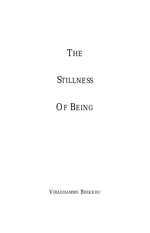# **THE**

## **STILLNESS**

### OF BEING

VIRADHAMMO BHIKKHU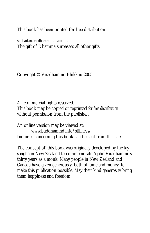This book has been printed for free distribution.

*sabbadanam dhammadanam jinati* The gift of Dhamma surpasses all other gifts.

Copyright © Viradhammo Bhikkhu 2005

All commercial rights reserved. This book may be copied or reprinted *for free distribution* without permission from the publisher.

An online version may be viewed at: www.buddhamind.info/stillness/ Inquiries concerning this book can be sent from this site.

The concept of this book was originally developed by the lay sangha in New Zealand to commemorate Ajahn Viradhammo's thirty years as a monk. Many people in New Zealand and Canada have given generously, both of time and money, to make this publication possible. May their kind generosity bring them happiness and freedom.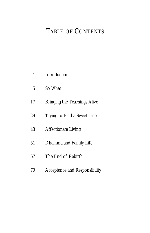### TABLE OF CONTENTS

| 1  | Introduction                         |
|----|--------------------------------------|
| 5  | So What                              |
| 17 | Bringing the Teachings Alive         |
| 29 | Trying to Find a Sweet One           |
| 43 | <b>Affectionate Living</b>           |
| 51 | Dhamma and Family Life               |
| 67 | The End of Rebirth                   |
| 79 | <b>Acceptance and Responsibility</b> |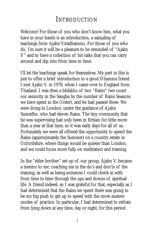#### **INTRODUCTION**

Welcome! For those of you who don't know him, what you have in your hands is an introduction, a sampling of teachings from Ajahn Viradhammo. For those of you who do, I'm sure it will be a pleasure to be reminded of "Ajahn V" and to have a collection of his talks that you can carry around and dip into from time to time.

I'll let the teachings speak for themselves. My part in this is just to offer a brief introduction to a good Dhamma friend. I met Ajahn V. in 1978, when I came over to England from Thailand. I was then a bhikkhu of two "Rains" (we count our seniority in the Sangha by the number of Rains Seasons we have spent in the Order), and he had passed three. We were living in London, under the guidance of Ajahn Sumedho, who had eleven Rains. The tiny community that he was supervising had only been in Britain for little more than a year at that time, so it was early days for all of us. Fortunately we were all offered the opportunity to spend the Rains (approximately the Summer) on a country estate in Oxfordshire, where things would be quieter than London, and we could focus more fully on meditation and training.

In the "elder brother" set-up of our group, Ajahn V. became a mentor to me, coaching me in the do's and don'ts of the training, as well as being someone I could check in with from time to time through the ups and downs of spiritual life. A friend indeed; so I was grateful for that, especially as I had determined that the Rains we spent there was going to be my big push to get up to speed with the more austere modes of practice. In particular, I had determined to refrain from lying down at any time, day or night, for this period.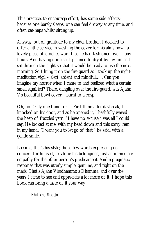This practice, to encourage effort, has some side effects: because one barely sleeps, one can feel drowsy at any time, and often cat-naps whilst sitting up.

Anyway, out of gratitude to my elder brother, I decided to offer a little service in washing the cover for his alms bowl, a lovely piece of crochet-work that he had fashioned over many hours. And having done so, I planned to dry it by my fire as I sat through the night so that it would be ready to use the next morning. So I hung it on the fire-guard as I took up the nightmeditation vigil – alert, ardent and mindful… . Can you imagine my horror when I came to and realized what a certain smell signified? There, dangling over the fire-guard, was Ajahn V's beautiful bowl cover – burnt to a crisp.

Oh, no. Only one thing for it. First thing after daybreak, I knocked on his door, and as he opened it, I bashfully waved the heap of frazzled yarn. "I have no excuse," was all I could say. He looked at me, with my head down and this sorry item in my hand. "I want you to let go of that," he said, with a gentle smile.

Laconic, that's his style; those few words expressing no concern for himself, let alone his belongings, just an immediate empathy for the other person's predicament. And a pragmatic response that was utterly simple, genuine, and right on the mark. That's Ajahn Viradhammo's Dhamma, and over the years I came to see and appreciate a lot more of it. I hope this book can bring a taste of it your way.

*Bhikkhu Sucitto*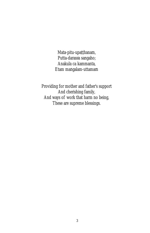Mata-pitu-upatthanam, Putta-darassa sangaho; Anakula ca kammanta, Etam mangalam-uttamam

Providing for mother and father's support And cherishing family, And ways of work that harm no being, These are supreme blessings.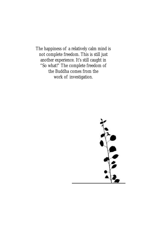The happiness of a relatively calm mind is not complete freedom. This is still just another experience. It's still caught in "So what!" The complete freedom of the Buddha comes from the work of investigation.

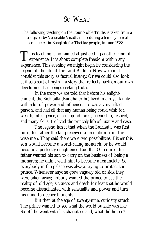#### SO WHAT

The following teaching on the Four Noble Truths is taken from a talk given by Venerable Viradhammo during a ten-day retreat conducted in Bangkok for Thai lay people, in June 1988.

This teaching is not aimed at just getting another kind of experience. It is about complete freedom within any experience. It is about complete freedom within any experience. This evening we might begin by considering the legend of the life of the Lord Buddha. Now we could consider this story as factual history. Or we could also look at it as a sort of myth – a story that reflects back on our own development as beings seeking truth.

In the story we are told that before his enlightenment, the *Bodhisatta* (Buddha-to-be) lived in a royal family with a lot of power and influence. He was a very gifted person, and had all that any human being could wish for: wealth, intelligence, charm, good looks, friendship, respect, and many skills. He lived the princely life of luxury and ease.

The legend has it that when the *Bodhisatta* was first born, his father the king received a prediction from the wise men. They said there were two possibilities: Either this son would become a world-ruling monarch, or he would become a perfectly enlightened Buddha. Of course the father wanted his son to carry on the business of being a monarch; he didn't want him to become a renunciate. So everybody in the palace was always trying to protect the prince. Whenever anyone grew vaguely old or sick they were taken away; nobody wanted the prince to see the reality of old age, sickness and death for fear that he would become disenchanted with sensuality and power and turn his mind to deeper thoughts.

But then at the age of twenty-nine, curiosity struck. The prince wanted to see what the world outside was like. So off he went with his charioteer and, what did he see?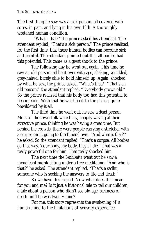The first thing he saw was a sick person, all covered with sores, in pain, and lying in his own filth. A thoroughly wretched human condition.

"What's that?" the prince asked his attendant. The attendant replied, "That's a sick person." The prince realized, for the first time, that these human bodies can become sick and painful. The attendant pointed out that all bodies had this potential. This came as a great shock to the prince.

The following day he went out again. This time he saw an old person: all bent over with age, shaking, wrinkled, grey-haired, barely able to hold himself up. Again, shocked by what he saw, the prince asked, "What's that?" "That's an old person," the attendant replied. "Everybody grows old." So the prince realized that his body too had this potential to become old. With that he went back to the palace, quite bewildered by it all.

The third time he went out, he saw a dead person. Most of the townsfolk were busy, happily waving at their attractive prince, thinking he was having a great time. But behind the crowds, there were people carrying a stretcher with a corpse on it, going to the funeral pyre. "And what is that?!" he asked. So the attendant replied: "That's a corpse. All bodies go that way. Your body, my body, they all die." That was a really powerful one for him. That really shocked him.

The next time the *Bodhisatta* went out he saw a mendicant monk sitting under a tree meditating. "And who is that?" he asked. The attendant replied, "That's a sadhu, someone who is seeking the answers to life and death."

So we have this legend. Now what does this mean for you and me? Is it just a historical tale to tell our children, a tale about a person who didn't see old age, sickness or death until he was twenty-nine?

For me, this story represents the awakening of a human mind to the limitations of sensory experience.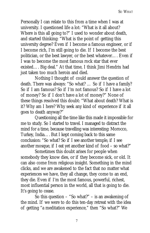Personally I can relate to this from a time when I was at university. I questioned life a lot: "What is it all about? Where is this all going to?" I used to wonder about death, and started thinking: "What is the point of getting this university degree? Even if I become a famous engineer, or if I become rich, I'm still going to die. If I become the best politician, or the best lawyer, or the best whatever…. Even if I was to become the most famous rock star that ever existed…. Big deal." At that time, I think Jimi Hendrix had just taken too much heroin and died.

Nothing I thought of could answer the question of death. There was always: "So what? … So if I have a family? So if I am famous? So if I'm not famous? So if I have a lot of money? So if I don't have a lot of money?" None of these things resolved this doubt: "What about death? What is it? Why am I here? Why seek any kind of experience if it all goes to death anyway?"

Questioning all the time like this made it impossible for me to study. So I started to travel. I managed to distract the mind for a time, because travelling was interesting: Morocco, Turkey, India…. But I kept coming back to this same conclusion: "So what? So if I see another temple, if I see another mosque, if I eat yet another kind of food – so what?"

Sometimes this doubt arises for people when somebody they know dies, or if they become sick, or old. It can also come from religious insight. Something in the mind clicks, and we are awakened to the fact that no matter what experiences we have, they all change, they come to an end, they die. Even if I'm the most famous, powerful, richest, most influential person in the world, all that is going to die. It's going to cease.

So this question – "So what?" – is an awakening of the mind. If we were to do this ten-day retreat with the idea of getting "a meditation experience," then "So what?" We

7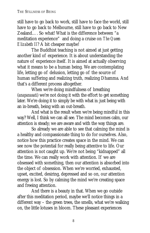still have to go back to work, still have to face the world, still have to go back to Melbourne, still have to go back to New Zealand…. So what! What is the difference between "a meditation experience" and doing a cruise on *The Queen Elizabeth II*? A bit cheaper maybe!

The Buddhist teaching is not aimed at just getting another kind of experience. It is about understanding the nature of experience itself. It is aimed at actually observing what it means to be a human being. We are contemplating life, letting go of delusion, letting go of the source of human suffering and realizing truth, realizing Dhamma. And that's a different process altogether.

When we're doing mindfulness of breathing (*anapanasati*) we're not doing it with the effort to get something later. We're doing it to simply be with what is: just being with an in-breath, being with an out-breath.

And what is the result when we're being mindful in this way? Well, I think we can all see. The mind becomes calm, our attention is steady; we are aware and with the way things are.

So already we are able to see that calming the mind is a healthy and compassionate thing to do for ourselves. Also, notice how this practice creates space in the mind. We can see now the potential for really being attentive to life. Our attention is not caught up. We're not being "kidnapped" all the time. We can really work with attention. If we are obsessed with something, then our attention is absorbed into the object of obsession. When we're worried, exhausted, upset, excited, desiring, depressed and so on, our attention energy is lost. So by calming the mind we're creating space and freeing attention.

And there is a beauty in that. When we go outside after this meditation period, maybe we'll notice things in a different way – the green trees, the smells, what we're walking on, the little lotuses in bloom. These pleasant experiences

8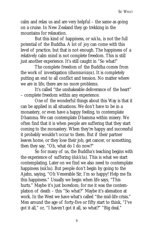calm and relax us and are very helpful – the same as going on a cruise. In New Zealand they go trekking in the mountains for relaxation.

But this kind of happiness, or *sukha*, is not the full potential of the Buddha. A lot of joy can come with this level of practice, but that is not enough. The happiness of a relatively calm mind is not complete freedom. This is still just another experience. It's still caught in "So what!"

The complete freedom of the Buddha comes from the work of investigation (*dhammavicaya*). It is completely putting an end to all conflict and tension. No matter where we are in life, there are no more problems.

It's called "the unshakeable deliverance of the heart" – complete freedom within any experience.

One of the wonderful things about this Way is that it can be applied in all situations. We don't have to be in a monastery, or even have a happy feeling, to contemplate Dhamma. We can contemplate Dhamma within misery. We often find that it is when people are suffering that they start coming to the monastery. When they're happy and successful it probably wouldn't occur to them. But if their partner leaves home, or they lose their job, get cancer, or something, then they say, "Oh, what do I do now?"

So for many of us, the Buddha's teaching begins with the experience of suffering (*dukkha*). This is what we start contemplating. Later on we find we also need to contemplate happiness (*sukha*). But people don't begin by going to the Ajahn, saying, "Oh Venerable Sir, I'm so happy! Help me fix this happiness." Usually we begin when life says, "This hurts." Maybe it's just boredom; for me it was the contemplation of death – this "So what?" Maybe it's alienation at work. In the West we have what's called "the mid-life crisis." Men around the age of forty-five or fifty start to think, "I've got it all," or, "I haven't got it all, so what?" "Big deal."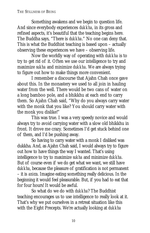Something awakens and we begin to question life. And since everybody experiences *dukkha*, in its gross and refined aspects, it's beautiful that the teaching begins here. The Buddha says, "There is *dukkha*." No one can deny that. This is what the Buddhist teaching is based upon – actually observing these experiences we have – observing life.

Now the worldly way of operating with *dukkha* is to try to get rid of it. Often we use our intelligence to try and maximize *sukha* and minimize *dukkha*. We are always trying to figure out how to make things more convenient.

I remember a discourse that Ajahn Chah once gave about this. In the monastery we used to all join in hauling water from the well. There would be two cans of water on a long bamboo pole, and a bhikkhu at each end to carry them. So Ajahn Chah said, "Why do you always carry water with the monk that you like? You should carry water with the monk you dislike!"

This was true. I was a very speedy novice and would always try to avoid carrying water with a slow old bhikkhu in front. It drove me crazy. Sometimes I'd get stuck behind one of them, and I'd be pushing away.

So having to carry water with a monk I disliked was dukkha. And, as Ajahn Chah said, I would always try to figure out how to have things the way I wanted. That's using intelligence to try to maximize *sukha* and minimize *dukkha*. But of course even if we do get what we want, we still have *dukkha*, because the pleasure of gratification is not permanent – it is *anicca*. Imagine eating something really delicious. In the beginning it would feel pleasurable. But, if you had to eat that for four hours! It would be awful.

So what do we do with *dukkha*? The Buddhist teaching encourages us to use intelligence to really look at it. That's why we put ourselves in a retreat situation like this with the Eight Precepts. We're actually looking at *dukkha*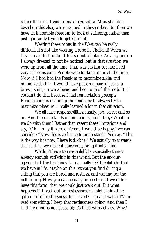rather than just trying to maximize *sukha*. Monastic life is based on this also; we're trapped in these robes. But then we have an incredible freedom to look at suffering, rather than just ignorantly trying to get rid of it.

Wearing these robes in the West can be really difficult. It's not like wearing a robe in Thailand! When we first moved to London I felt so out of place. As a lay person I always dressed to not be noticed, but in that situation we were up front all the time. That was *dukkha* for me; I felt very self-conscious. People were looking at me all the time. Now, if I had had the freedom to maximize *sukha* and minimize *dukkha*, I would have put on a pair of jeans, a brown shirt, grown a beard and been one of the mob. But I couldn't do that because I had renunciation precepts. Renunciation is giving up the tendency to always try to maximize pleasure. I really learned a lot in that situation.

We all have responsibilities: family, job, career and so on. And these are kinds of limitations, aren't they? What do we do with them? Rather than resent these limitations and say, "Oh if only it were different, I would be happy," we can consider: "Now this is a chance to understand." We say, "This is the way it is now. There is *dukkha*." We actually go towards that *dukkha*; we make it conscious, bring it into mind.

We don't have to create *dukkha* especially; there's already enough suffering in this world. But the encouragement of the teachings is to actually feel the *dukkha* that we have in life. Maybe on this retreat you find during a sitting that you are bored and restless, and waiting for the bell to ring. Now you can actually notice that. If we didn't have this form, then we could just walk out. But what happens if I walk out on restlessness? I might think I've gotten rid of restlessness, but have I? I go and watch TV or read something; I keep that restlessness going. And then I find my mind is not peaceful; it's filled with activity. Why?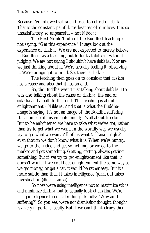Because I've followed *sukha* and tried to get rid of *dukkha*. That is the constant, painful, restlessness of our lives. It is so unsatisfactory, so unpeaceful – not *Nibbana*.

The First Noble Truth of the Buddhist teaching is not saying, "Get this experience." It says look at the experience of *dukkha*. We are not expected to merely believe in Buddhism as a teaching, but to look at *dukkha*, without judging. We are not saying I shouldn't have *dukkha*. Nor are we just thinking about it. We're actually feeling it, observing it. We're bringing it to mind. So, there is *dukkha*.

The teaching then goes on to consider that *dukkha* has a cause and also that it has an end.

So, the Buddha wasn't just talking about *dukkha*. He was also talking about the cause of *dukkha*, the end of *dukkha* and a path to that end. This teaching is about enlightenment – *Nibbana*. And that is what the Buddhaimage is saying. It's not an image of the Buddha suffering. It's an image of his enlightenment; it's all about freedom. But to be enlightened we have to take what we've got, rather than try to get what we want. In the worldly way we usually try to get what we want. All of us want *Nibbana* – right? – even though we don't know what it is. When we're hungry, we go to the fridge and get something, or we go to the market and get something. Getting, getting, always getting something. But if we try to get enlightenment like that, it doesn't work. If we could get enlightenment the same way as we get money, or get a car, it would be rather easy. But it's more subtle than that. It takes intelligence (*pañña*). It takes investigation (*dhammavicaya*).

So now we're using intelligence not to maximize *sukha* and minimize *dukkha*, but to actually look at *dukkha*. We're using intelligence to consider things skilfully: "Why am I suffering?" So you see, we're not dismissing thought; thought is a very important faculty. But if we can't think clearly then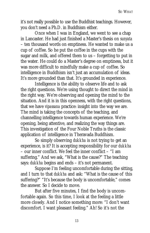it's not really possible to use the Buddhist teachings. However, you don't need a Ph.D. in Buddhism either.

Once when I was in England, we went to see a chap in Lancaster. He had just finished a Master's thesis on *sunyata* – ten thousand words on emptiness. He wanted to make us a cup of coffee. So he put the coffee in the cups with the sugar and milk, and offered them to us – forgetting to put in the water. He could do a Master's degree on emptiness, but it was more difficult to mindfully make a cup of coffee. So intelligence in Buddhism isn't just an accumulation of ideas. It's more grounded than that. It's grounded in experience.

Intelligence is the ability to observe life and to ask the right questions. We're using thought to direct the mind in the right way. We're observing and opening the mind to the situation. And it is in this openness, with the right questions, that we have *vipassana* practice: insight into the way we are. The mind is taking the concepts of the teaching, and channelling intelligence towards human experience. We're opening, being attentive, and realizing the way things are. This investigation of the Four Noble Truths is the classic application of intelligence in Theravada Buddhism.

So simply observing *dukkha* is not trying to get an experience, is it? It is accepting responsibility for our *dukkha* – our inner conflict. We feel the inner conflict – "I am suffering." And we ask, "What is the cause?" The teaching says: *dukkha* begins and ends – it's not permanent.

Suppose I'm feeling uncomfortable during the sitting, and I turn to that *dukkha* and ask: "What is the cause of this suffering?" "It's because the body is uncomfortable," comes the answer. So I decide to move.

But after five minutes, I find the body is uncomfortable again. So this time, I look at the feeling a little more closely. And I notice something more: "I don't want discomfort. I want pleasant feeling." Ah! So it's not the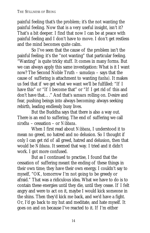painful feeling that's the problem; it's the not wanting the painful feeling. Now that is a very useful insight, isn't it? That's a bit deeper. I find that now I can be at peace with painful feeling and I don't have to move. I don't get restless and the mind becomes quite calm.

So I've seen that the cause of the problem isn't the painful feeling; it's the "not wanting" that particular feeling. "Wanting" is quite tricky stuff. It comes in many forms. But we can always apply this same investigation: What is it I want now? The Second Noble Truth – *samudaya* – says that the cause of suffering is attachment to wanting (*tanha)*. It makes us feel that if we get what we want we'll be fulfilled: "If I have this" or "If I become that" or "If I get rid of this and don't have that…." And that's *samsara* rolling on. Desire and fear, pushing beings into always becoming: always seeking rebirth, leading endlessly busy lives.

But the Buddha says that there is also a way out. There is an end to suffering. The end of suffering we call *nirodha* – cessation – or *Nibbana*.

When I first read about *Nibbana*, I understood it to mean no greed, no hatred and no delusion. So I thought if only I can get rid of all greed, hatred and delusion, then that would be *Nibbana*. It seemed that way. I tried and it didn't work. I got more confused.

But as I continued to practise, I found that the cessation of suffering meant the ending of these things in their own time; they have their own energy. I couldn't say to myself, "OK, tomorrow I'm not going to be greedy or afraid." That was a ridiculous idea. What we have to do is to contain these energies until they die, until they cease. If I felt angry and were to act on it, maybe I would kick someone in the shins. Then they'd kick me back, and we'd have a fight. Or, I'd go back to my hut and meditate, and hate myself. It goes on and on because I've reacted to it. If I'm either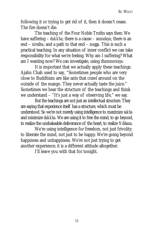following it or trying to get rid of it, then it doesn't cease. The fire doesn't die.

The teaching of the Four Noble Truths says then: We have suffering – *dukkha*; there is a cause – *samudaya*; there is an end – *nirodha*; and a path to that end – *magga*. This is such a practical teaching. In any situation of inner conflict we can take responsibility for what we're feeling. Why am I suffering? What am I wanting now? We can investigate, using *dhammavicaya*.

It is important that we actually apply these teachings. Ajahn Chah used to say, "Sometimes people who are very close to Buddhism are like ants that crawl around on the outside of the mango. They never actually taste the juice." Sometimes we hear the structure of the teachings and think we understand – "It's just a way of observing life," we say.

But the teachings are not just an intellectual structure. They are saying that experience itself has a structure, which must be understood. So we're not merely using intelligence to maximize *sukha* and minimize *dukkha*. We are using it to free the mind, to go beyond, to realize the unshakeable deliverance of the heart, to realize *Nibbana*.

We're using intelligence for freedom, not just frivolity; to liberate the mind, not just to be happy. We're going beyond happiness and unhappiness. We're not just trying to get another experience; it is a different attitude altogether.

I'll leave you with that for tonight.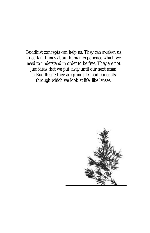Buddhist concepts can help us. They can awaken us to certain things about human experience which we need to understand in order to be free. They are not just ideas that we put away until our next exam in Buddhism; they are principles and concepts through which we look at life, like lenses.

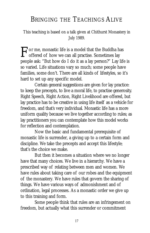#### BRINGING THE TEACHINGS ALIVE

This teaching is based on a talk given at Chithurst Monastery in July 1989.

For me, monastic life is a model that the Buddha has<br>offered of how we can all practise. Sometimes lay offered of how we can all practise. Sometimes lay people ask: "But how do I do it as a lay person?" Lay life is so varied. Life situations vary so much; some people have families, some don't. There are all kinds of lifestyles, so it's hard to set up any specific model.

Certain general suggestions are given for lay practice: to keep the precepts, to live a moral life, to practise generosity. Right Speech, Right Action, Right Livelihood are offered, but lay practice has to be creative in using life itself as a vehicle for freedom, and that's very individual. Monastic life has a more uniform quality because we live together according to rules; as lay practitioners you can contemplate how this model works for reflection and contemplation.

Now the basic and fundamental prerequisite of monastic life is surrender, a giving up to a certain form and discipline. We take the precepts and accept this lifestyle; that's the choice we make.

But then it becomes a situation where we no longer have that many choices. We live in a hierarchy. We have a prescribed way of relating between men and women. We have rules about taking care of our robes and the equipment of the monastery. We have rules that govern the sharing of things. We have various ways of admonishment and of ordination, legal processes. As a monastic order we give up to this training and form.

Some people think that rules are an infringement on freedom, but actually what this surrender or commitment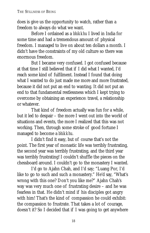does is give us the opportunity to watch, rather than a freedom to always do what we want.

Before I ordained as a *bhikkhu* I lived in India for some time and had a tremendous amount of physical freedom. I managed to live on about ten dollars a month. I didn't have the constraints of my old culture so there was enormous freedom.

But I became very confused. I got confused because at that time I still believed that if I did what I wanted, I'd reach some kind of fulfilment. Instead I found that doing what I wanted to do just made me more and more frustrated, because it did not put an end to wanting. It did not put an end to that fundamental restlessness which I kept trying to overcome by obtaining an experience: travel, a relationship or whatever.

That kind of freedom actually was fun for a while, but it led to despair – the more I went out into the world of situations and events, the more I realized that this was not working. Then, through some stroke of good fortune I managed to become a *bhikkhu*.

I didn't find it easy, but of course that's not the point. The first year of monastic life was terribly frustrating, the second year was terribly frustrating, and the third year was terribly frustrating! I couldn't shuffle the pieces on the chessboard around. I couldn't go to the monastery I wanted.

I'd go to Ajahn Chah, and I'd say; "Luang Por, I'd like to go to such and such a monastery." He'd say, "What's wrong with this one? Don't you like me?" Ajahn Chah's way was very much one of frustrating desire – and he was fearless in that. He didn't mind if his disciples got angry with him! That's the kind of compassion he could exhibit: the compassion to frustrate. That takes a lot of courage, doesn't it? So I decided that if I was going to get anywhere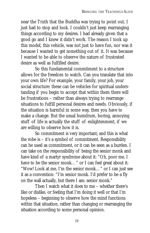near the Truth that the Buddha was trying to point out, I just had to stop and look. I couldn't just keep rearranging things according to my desires. I had already given that a good go and I knew it didn't work. The reason I took up this model, this vehicle, was not just to have fun, nor was it because I wanted to get something out of it. It was because I wanted to be able to observe the nature of frustrated desire as well as fulfilled desire.

So this fundamental commitment to a structure allows for the freedom to watch. Can you translate that into your own life? For example, your family, your job, your social structure: these can be vehicles for spiritual understanding if you begin to accept that within them there will be frustrations – rather than always trying to rearrange situations to fulfill personal desires and needs. Obviously, if the situation is harmful in some way, then you have to make a change. But the usual humdrum, boring, annoying stuff of life is actually the stuff of enlightenment, if we are willing to observe how it is.

So commitment is very important; and this is what the robe is – it's a symbol of commitment. Responsibility can be used as commitment, or it can be seen as a burden. I can take on the responsibility of being the senior monk and have kind of a martyr syndrome about it: "Oh, poor me, I have to be the senior monk..." or I can feel great about it: "Wow! Look at me, I'm the senior monk…" or I can just see it as a convention: "I'm senior monk. I'd prefer to be a fly on the wall actually, but there I am: senior monk."

Then I watch what it does to me – whether there's like or dislike, or feeling that I'm doing it well or that I'm hopeless – beginning to observe how the mind functions within that situation, rather than changing or rearranging the situation according to some personal opinion.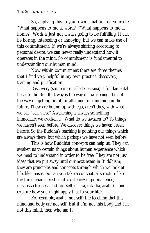So, applying this to your own situation, ask yourself: "What happens to me at work?" "What happens to me at home?" Work is just not always going to be fulfilling. It can be boring, interesting or annoying, but we can make use of this commitment. If we're always shifting according to personal desire, we can never really understand how it operates in the mind. So commitment is fundamental to understanding our human mind.

Now within commitment there are three themes that I find very helpful in my own practice: discovery, training and purification.

Discovery (sometimes called *vipassana*) is fundamental because the Buddhist way is the way of awakening. It's not the way of getting rid of, or attaining to something in the future. These are bound up with ego, aren't they, with what we call "self-view." Awakening is always something immediate: we awaken…. What do we awaken to? To things we haven't seen before. We discover things we haven't seen before. So the Buddha's teaching is pointing out things which are always there, but which perhaps we have not seen before.

This is how Buddhist concepts can help us. They can awaken us to certain things about human experience which we need to understand in order to be free. They are not just ideas that we put away until our next exam in Buddhism; they are principles and concepts through which we look at life, like lenses. So can you take a conceptual structure like the three characteristics of existence: impermanence, unsatisfactoriness and not-self (*anicca, dukkha, anatta*) – and explore how you might apply that to your life?

For example, *anatta*, not-self: the teaching that this mind and body are not self. But if I'm not this body and I'm not this mind, then who am I?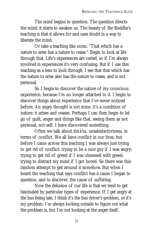The mind begins to question. The question directs the mind, it starts to awaken us. The beauty of the Buddha's teaching is that it allows for and uses doubt in a way to liberate the mind.

Or take a teaching like *anicca*: "That which has a nature to arise has a nature to cease." Begin to look at life through that. Life's experiences are varied, so if I'm always involved in experiences it's very confusing. But if I use this teaching as a lens to look through, I see that that which has the nature to arise also has the nature to cease, and is not personal.

So I begin to discover the nature of my conscious experience, because I'm no longer attached to it. I begin to discover things about experience that I've never noticed before. An angry thought is not mine, it's a condition of nature; it arises and ceases. Perhaps I can then begin to let go of guilt, anger and things like that, seeing them as not personal, not-self. I have discovered something.

Often we talk about *dukkha*, unsatisfactoriness, in terms of conflict. We all have conflict in our lives, but before I came across this teaching I was always just trying to get rid of conflict: trying to be a nice guy if I was angry; trying to get rid of greed if I was obsessed with greed; trying to distract my mind if I got bored. So there was this random attempt to get around it somehow. But when I heard the teaching that says conflict has a cause I began to question, and to discover, the cause of suffering.

Now the delusion of our life is that we tend to get fascinated by particular types of experience. If I get angry at the bus being late, I think it's the bus driver's problem, or it's my problem. I'm always looking outside to figure out what the problem is, but I'm not looking at the anger itself.

21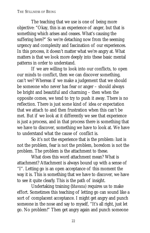The teaching that we use is one of being more objective: "Okay, this is an experience of anger, but that is something which arises and ceases. What's causing the suffering here?" So we're detaching now from the seeming urgency and complexity and fascination of our experiences. In this process, it doesn't matter what we're angry at. What matters is that we look more deeply into these basic mental patterns in order to understand.

If we are willing to look into our conflicts, to open our minds to conflict, then we can discover something, can't we? Whereas if we make a judgement that we should be someone who never has fear or anger – should always be bright and beautiful and charming – then when the opposite comes, we tend to try to push it away. There is no reflection. There is just some kind of idea or expectation that we attach to and then frustration when this can't be met. But if we look at it differently we see that experience is just a process, and in that process there is something that we have to discover, something we have to look at. We have to understand what the cause of conflict is.

So it's not the experience that is the problem: lust is not the problem, fear is not the problem, boredom is not the problem. The problem is the attachment to these.

What does this word attachment mean? What is attachment? Attachment is always bound up with a sense of "I". Letting go is an open acceptance of this moment the way it is. This is something that we have to discover, we have to see it quite clearly. This is the path of insight.

Undertaking training (*bhavana*) requires us to make effort. Sometimes this teaching of letting go can sound like a sort of complacent acceptance. I might get angry and punch someone in the nose and say to myself, "It's all right, just let go. No problem!" Then get angry again and punch someone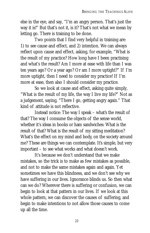else in the eye, and say, "I'm an angry person. That's just the way it is!" But that's not it, is it? That's not what we mean by letting go. There is training to be done.

Two points that I find very helpful in training are: 1) to see cause and effect, and 2) intention. We can always reflect upon cause and effect, asking, for example, "What is the result of my practice? How long have I been practising and what's the result? Am I more at ease with life than I was ten years ago? Or a year ago? Or am I more uptight?" If I'm more uptight, then I need to consider my practice! If I'm more at ease, then also I should consider my practice.

So we look at cause and effect, asking quite simply, "What is the result of my life, the way I live my life?" Not as a judgement, saying, "There I go, getting angry again." That kind of attitude is not reflective.

Instead notice: The way I speak – what's the result of that? The way I consume the objects of the sense world, whether it's ideas in books or ham sandwiches: What is the result of that? What is the result of my sitting meditation? What's the effect on my mind and body, on the society around me? These are things we can contemplate. It's simple, but very important – to see what works and what doesn't work.

It's because we don't understand that we make mistakes, so the trick is to make as few mistakes as possible, and not to make the same mistakes again and again. Yet sometimes we have this blindness, and we don't see why we have suffering in our lives. Ignorance blinds us. So then what can we do? Wherever there is suffering or confusion, we can begin to look at that pattern in our lives. If we look at this whole pattern, we can discover the causes of suffering, and begin to make intentions to not allow those causes to come up all the time.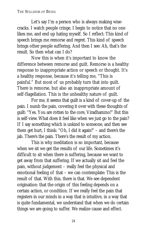Let's say I'm a person who is always making wisecracks. I watch people cringe, I begin to notice that no one likes me, and end up hating myself. So I reflect: This kind of speech brings me remorse and regret. This kind of speech brings other people suffering. And then I see: Ah, that's the result. So then what can I do?

Now this is when it's important to know the difference between remorse and guilt. Remorse is a healthy response to inappropriate action or speech or thought. It's a healthy response, because it's telling me, "This is painful." But most of us probably turn that into guilt. There is remorse, but also an inappropriate amount of self-flagellation. This is the unhealthy nature of guilt.

For me, it seems that guilt is a kind of cover-up of the pain. I numb the pain, covering it over with these thoughts of guilt: "Yes. You are rotten to the core, Viradhammo!" But this is self-view. What does it feel like when we just go to the pain? If I say something which is unkind to someone, and then see them get hurt, I think: "Oh, I did it again!" – and there's the jab. There's the pain. There's the result of my action.

This is why meditation is so important, because when we sit we get the results of our life. Sometimes it's difficult to sit when there is suffering, because we want to get away from that suffering. If we actually sit and feel the pain, without judgement – really feel the physical and emotional feeling of that – we can contemplate: This is the result of that. With this, there is that. We see dependent origination: that the origin of this feeling depends on a certain action, or condition. If we really feel the pain that registers in our minds in a way that is intuitive, in a way that is quite fundamental, we understand that when we do certain things we are going to suffer. We realize cause and effect.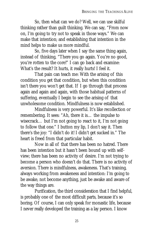So, then what can we do? Well, we can use skilful thinking rather than guilt thinking. We can say, "From now on, I'm going to try not to speak in those ways." We can make that intention; and establishing that intention in the mind helps to make us more mindful.

So, five days later when I say the same thing again, instead of thinking, "There you go again. You're no good, you're rotten to the core!" I can go back and examine: What's the result? It hurts, it really hurts! I feel it.

That pain can teach me: With the arising of this condition you get that condition, but when this condition isn't there you won't get that. If I go through that process again and again and again, with those habitual patterns of suffering, eventually I begin to see the arising of that unwholesome condition. Mindfulness is now established.

Mindfulness is very powerful. It's like recollection or remembering. It sees: "Ah, there it is… the impulse to wisecrack… but I'm not going to react to it, I'm not going to follow that one." I button my lip, I don't say it. Then there's the joy: "I didn't do it! I didn't get sucked in." The heart is freed from that particular habit.

Now in all of that there has been no hatred. There has been intention but it hasn't been bound up with selfview; there has been no activity of desire. I'm not trying to become a person who doesn't do that. There is no activity of aversion. There is mindfulness, awakeness. That's training, always working from awakeness and intention: I'm going to be awake, not become anything, just be awake and aware of the way things are.

Purification, the third consideration that I find helpful, is probably one of the most difficult parts, because it's so boring. Of course, I can only speak for monastic life, because I never really developed the training as a lay person. I know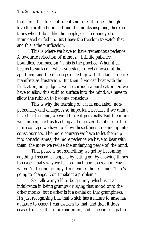that monastic life is not fun; it's not meant to be. Though I love the brotherhood and find the monks inspiring, there are times when I don't like the people, or I feel annoyed or intimidated or fed up. But I have the freedom to watch that, and this is the purification.

This is where we have to have tremendous patience. A favourite reflection of mine is: "Infinite patience, boundless compassion." This is the practice. When it all begins to surface – when you start to feel annoyed at the apartment and the marriage, or fed up with the kids – desire manifests as frustration. But then if we can bear with the frustration, not judge it, we go through a purification. So we have to allow this stuff to surface into the mind; we have to allow the rubbish to become conscious.

This is why the teaching of *anatta* and *anicca*, nonpersonality and change, is so important, because if we didn't have that teaching, we would take it personally. But the more we contemplate this teaching and discover that it's true, the more courage we have to allow these things to come up into consciousness. The more courage we have to let them up into consciousness, the more patience we have to bear with them, the more we realize the underlying peace of the mind.

That peace is not something we get by becoming anything. Instead it happens by letting go, by allowing things to cease. That's why we talk so much about cessation. Say, when I'm feeling grumpy, I remember the teaching: "That's going to change. Don't make it a problem."

So I allow myself to be grumpy, which isn't an indulgence in being grumpy or laying that mood onto the other monks, but neither is it a denial of that grumpiness. It's just recognising that that which has a nature to arise has a nature to cease: I can awaken to that, and then it does cease. I realize that more and more, and it becomes a path of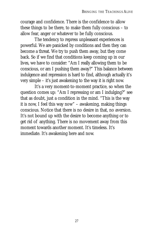courage and confidence. There is the confidence to allow these things to be there, to make them fully conscious – to allow fear, anger or whatever to be fully conscious.

The tendency to repress unpleasant experiences is powerful. We are panicked by conditions and then they can become a threat. We try to push them away, but they come back. So if we find that conditions keep coming up in our lives, we have to consider: "Am I really allowing them to be conscious, or am I pushing them away?" This balance between indulgence and repression is hard to find, although actually it's very simple – it's just awakening to the way it is right now.

It's a very moment-to-moment practice, so when the question comes up: "Am I repressing or am I indulging?" see that as doubt, just a condition in the mind. "This is the way it is now, I feel this way now" – awakening, making things conscious. Notice that there is no desire in that, no aversion. It's not bound up with the desire to become anything or to get rid of anything. There is no movement away from this moment towards another moment. It's timeless. It's immediate. It's awakening here and now.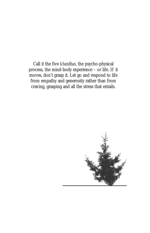Call it the five *khandhas*, the psycho-physical process, the mind-body experience – or life. If it moves, don't grasp it. Let go and respond to life from empathy and generosity rather than from craving, grasping and all the stress that entails.

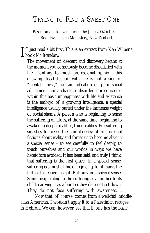#### TRYING TO FIND A SWEET ONE

Based on a talk given during the June 2002 retreat at Bodhinyanarama Monastery, New Zealand.

I book *No Boundary*: 'll just read a bit first. This is an extract from Ken Wilber's

The movement of descent and discovery begins at the moment you consciously become dissatisfied with life. Contrary to most professional opinion, this gnawing dissatisfaction with life is not a sign of "mental illness," nor an indication of poor social adjustment, nor a character disorder. For concealed within this basic unhappiness with life and existence is the embryo of a growing intelligence, a special intelligence usually buried under the immense weight of social shams. A person who is beginning to sense the suffering of life is, at the same time, beginning to awaken to deeper realities, truer realities. For suffering smashes to pieces the complacency of our normal fictions about reality and forces us to become alive in a special sense – to see carefully, to feel deeply, to touch ourselves and our worlds in ways we have heretofore avoided. It has been said, and truly I think, that suffering is the first grace. In a special sense, suffering is almost a time of rejoicing, for it marks the birth of creative insight. But only in a special sense. Some people cling to the suffering as a mother to its child, carrying it as a burden they dare not set down. They do not face suffering with awareness….

Now that, of course, comes from a well-fed, middleclass American. I wouldn't apply it to a Palestinian refugee in Hebron. We can, however, see that if one has the basic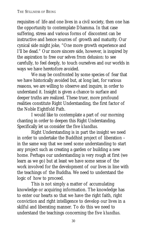requisites of life and one lives in a civil society, then one has the opportunity to contemplate Dhamma. In that case suffering, stress and various forms of discontent can be instructive and hence sources of growth and maturity. Our cynical side might joke, "One more growth experience and I'll be dead." Our more sincere side, however, is inspired by the aspiration to free our selves from delusion: to see carefully, to feel deeply, to touch ourselves and our worlds in ways we have heretofore avoided.

We may be confronted by some species of fear that we have historically avoided but, at long last, for various reasons, we are willing to observe and inquire, in order to understand it. Insight is given a chance to surface and deeper truths are realized. These truer, more profound realities constitute Right Understanding, the first factor of the Noble Eightfold Path.

I would like to contemplate a part of our morning chanting in order to deepen this Right Understanding. Specifically let us consider the five *khandhas*.

Right Understanding is in part the insight we need in order to undertake the Buddhist project of liberation – in the same way that we need some understanding to start any project such as creating a garden or building a new home. Perhaps our understanding is very rough at first (we learn as we go) but at least we have some sense of the work involved for the development of our lives in line with the teachings of the Buddha. We need to understand the logic of how to proceed.

This is not simply a matter of accumulating knowledge or acquiring information. The knowledge has to enter our hearts so that we have the right faith, right conviction and right intelligence to develop our lives in a skilful and liberating manner. To do this we need to understand the teachings concerning the five *khandhas*.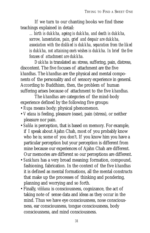If we turn to our chanting books we find these teachings explained in detail:

*…birth is dukkha, ageing is dukkha, and death is dukkha, sorrow, lamentation, pain, grief and despair are dukkha, association with the disliked is dukkha, separation from the liked is dukkha, not attaining one's wishes is dukkha. In brief the five focuses of attachment are dukkha.*

*Dukkha* is translated as: stress, suffering, pain, distress, discontent. The five focuses of attachment are the five *khandhas*. The *khandhas* are the physical and mental components of the personality and of sensory experience in general. According to Buddhism, then, the problem of human suffering arises because of attachment to the five *khandhas*.

The *khandhas* are categories of the mind-body experience defined by the following five groups:

- *Rupa* means body; physical phenomenon.
- *Vedana* is feeling, pleasure (ease), pain (stress), or neither pleasure nor pain.
- *Sañña* is perception, that is based on memory. For example, if I speak about Ajahn Chah, most of you probably know who he is; some of you don't. If you know him you have a particular perception but your perception is different from mine because our experiences of Ajahn Chah are different. Our memories are different so our perceptions are different.
- *Sankhara* has a very broad meaning: formation, compound, fashioning, fabrication. In the context of the five *khandhas* it is defined as mental formations, all the mental constructs that make up the processes of thinking and pondering, planning and worrying and so forth.
- Finally, *viññana* is consciousness, cognizance, the act of taking note of sense data and ideas as they occur in the mind. Thus we have eye consciousness, nose consciousness, ear consciousness, tongue consciousness, body consciousness, and mind consciousness.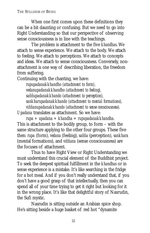When one first comes upon these definitions they can be a bit daunting or confusing. But we need to go into Right Understanding so that our perspective of observing sense consciousness is in line with the teachings.

The problem is attachment to the five *khandhas*. We attach to sense experience. We attach to the body. We attach to feeling. We attach to perceptions. We attach to concepts and ideas. We attach to sense consciousness. Conversely, nonattachment is one way of describing liberation, the freedom from suffering.

Continuing with the chanting, we have:

*rupupadanakkhandho (attachment to form), vedanupadanakkhandho (attachment to feeling), saññupadanakkhando (attachment to perception), sankharupadanakkhando (attachment to mental formations), viññanupadanakkhando (attachment to sense consciousness).*

*Upadana* translates as attachment. So we have:

*rupa + upadana + khandha = rupupadanakkhandha.* This is attachment to the bodily group, to form – with the same structure applying to the other four groups. These five then: *rupa* (form), *vedana* (feeling), *sañña* (perception), *sankhara* (mental formations), and *viññana* (sense consciousness) are the focuses of attachment.

Thus to have Right View or Right Understanding we must understand this crucial element of the Buddhist project. To seek the deepest spiritual fulfillment in the *khandhas* or in sense experience is a mistake. It's like searching in the fridge for a hot meal. And if you don't really understand that, if you don't have a good grasp of that intellectually, then you can spend all of your time trying to get it right but looking for it in the wrong place. It's like that delightful story of Nasrudin, the Sufi mystic.

Nasrudin is sitting outside an Arabian spice shop. He's sitting beside a huge basket of red hot "dynamite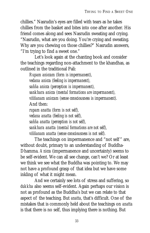chillies." Nasrudin's eyes are filled with tears as he takes chillies from the basket and bites into one after another. His friend comes along and sees Nasrudin sweating and crying. "Nasrudin, what are you doing. You're crying and sweating. Why are you chewing on those chillies?" Nasrudin answers, "I'm trying to find a sweet one."

Let's look again at the chanting book and consider the teachings regarding non-attachment to the khandhas, as outlined in the traditional Pali:

*Rupam aniccam (form is impermanent), vedana anicca (feeling is impermanent), sañña anicca (perception is impermanent), sankhara anicca (mental formations are impermanent), viññanam aniccam (sense consciousness is impermanent).* And then: *rupam anatta (form is not self), vedana anatta (feeling is not self), sañña anatta (perception is not self),*

*sankhara anatta (mental formations are not self), viññanam anatta (sense consciousness is not self).*

The teachings on impermanence and "not self" are. without doubt, primary to an understanding of Buddha-Dhamma. *Anicca* (impermanence and uncertainty) seems to be self-evident. We can all see change, can't we? Or at least we think we see what the Buddha was pointing to. We may not have a profound grasp of that idea but we have some inkling of what it might mean.

And we certainly see lots of stress and suffering, so *dukkha* also seems self-evident. Again perhaps our vision is not as profound as the Buddha's but we can relate to that aspect of the teaching. But *anatta*, that's difficult. One of the mistakes that is commonly held about the teachings on *anatta* is that there is no self, thus implying there is nothing. But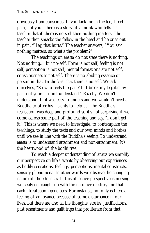obviously I am conscious. If you kick me in the leg, I feel pain, not you. There is a story of a monk who tells his teacher that if there is no self then nothing matters. The teacher then smacks the fellow in the head and he cries out in pain, "Hey, that hurts." The teacher answers, "You said nothing matters, so what's the problem?"

The teachings on *anatta* do not state there is nothing. Not nothing… but no-self. Form is not self, feeling is not self, perception is not self, mental formations are not self, consciousness is not self. There is no abiding essence or person in that. In the *khandhas* there is no self. We ask ourselves, "So who feels the pain? If I break my leg, it's my pain not yours. I don't understand." Exactly. We don't understand. If it was easy to understand we wouldn't need a Buddha to offer his insights to help us. The Buddha's realisation was deep and profound so it's not surprising if we come across some part of the teaching and say, "I don't get it." This is where we need to investigate, to contemplate the teachings, to study the texts and our own minds and bodies until we see in line with the Buddha's seeing. To understand *anatta* is to understand attachment and non-attachment. It's the heartwood of the bodhi tree.

To reach a deeper understanding of *anatta* we simplify our perspective on life's events by observing our experiences as bodily sensations, feelings, perceptions, mental constructs, sensory phenomena. In other words we observe the changing nature of the *khandhas*. If this objective perspective is missing we easily get caught up with the narrative or story line that each life situation generates. For instance, not only is there a feeling of annoyance because of some disturbance in our lives, but there are also all the thoughts, stories, justifications, past resentments and guilt trips that proliferate from that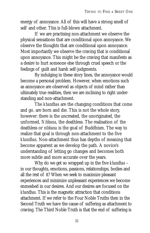energy of annoyance. All of this will have a strong smell of self and other. This is full-blown attachment.

If we are practising non-attachment we observe the physical sensations that are conditional upon annoyance. We observe the thoughts that are conditional upon annoyance. Most importantly we observe the craving that is conditional upon annoyance. This might be the craving that manifests as a desire to hurt someone else through cruel speech or the feelings of guilt and harsh self-judgments.

By indulging in these story lines, the annoyance would become a personal problem. However, when emotions such as annoyance are observed as objects of mind rather than ultimately true realities, then we are inclining to right understanding and non-attachment.

The *khandhas* are the changing conditions that come and go, are born and die. This is not the whole story, however: there is the uncreated, the unoriginated, the unformed, *Nibbana*, the deathless. The realisation of the deathless or *nibbana* is the goal of Buddhism. The way to realize that goal is through non-attachment to the five *khandhas*. Non-attachment thus has depths of meaning that become apparent as we develop the path. A novice's understanding of letting go changes and becomes both more subtle and more accurate over the years.

Why do we get so wrapped up in the five *khandhas* – in our thoughts, emotions, passions, relationships, bodies and all the rest of it? When we seek to maximize pleasant experiences and minimize unpleasant experiences we become enmeshed in our desires. And our desires are focused on the *khandhas*. This is the magnetic attraction that conditions attachment. If we refer to the Four Noble Truths then in the Second Truth we have the cause of suffering as attachment to craving. The Third Noble Truth is that the end of suffering is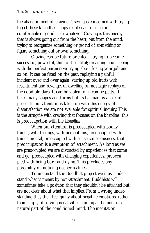the abandonment of craving. Craving is concerned with trying to get these khandhas happy or pleasant or nice or comfortable or good – or whatever. Craving is this energy that is always going out from the heart, out from the mind, trying to reorganize something or get rid of something or figure something out or own something.

Craving can be future-oriented – trying to become successful, powerful, thin, or beautiful; dreaming about being with the perfect partner; worrying about losing your job and so on. It can be fixed on the past, replaying a painful incident over and over again, stirring up old hurts with resentment and revenge, or dwelling on nostalgic replays of the good old days. It can be violent or it can be petty. It takes many shapes and forms but its hallmark is a lack of peace. If our attention is taken up with this energy of dissatisfaction we are not available for spiritual inquiry. This is the struggle with craving that focuses on the *khandhas*; this is preoccupation with the *khandhas*.

When our attention is preoccupied with bodily things, with feelings, with perceptions, preoccupied with things mental, preoccupied with sense consciousness, that preoccupation is a symptom of attachment. As long as we are preoccupied we are distracted by experiences that come and go, preoccupied with changing experiences, preoccupied with being born and dying. This precludes any possibility of noticing deeper realities.

To understand the Buddhist project we must understand what is meant by non-attachment. Buddhists will sometimes take a position that they shouldn't be attached but are not clear about what that implies. From a wrong understanding they then feel guilty about negative emotions, rather than simply observing negativities coming and going as a natural part of the conditioned mind. The meditation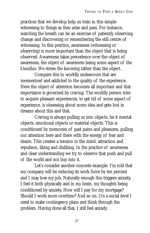practices that we develop help us train in this simple witnessing to things as they arise and pass. For instance, watching the breath can be an exercise of patiently observing change and discovering or remembering the still centre of witnessing. In this practice, awareness (witnessing or observing) is more important than the object that is being observed. Awareness takes precedence over the object of awareness, the object of awareness being some aspect of the *khandhas*. We stress the knowing rather than the object.

Compare this to worldly endeavours that are mesmerized and addicted to the quality of the experience. Here the object of attention becomes all important and that importance is governed by craving. The worldly person tries to acquire pleasant experiences, to get rid of some aspect of experience, is obsessing about some idea and gets lost in dreams about this and that.

Craving is always pulling us into objects, be it mental objects, emotional objects or material objects. This is conditioned by memories of past pains and pleasures, pulling our attention here and there with the energy of fear and desire. This creates a tension in the mind: attraction and repulsion, liking and disliking. In the practice of awareness and clear understanding we try to observe that push and pull of the world and not buy into it.

Let's consider another concrete example. I'm told that my company will be reducing its work force by ten percent and I may lose my job. Naturally enough this triggers anxiety. I feel it both physically and in my brain, my thoughts being conditioned by anxiety. How will I pay for my mortgage? Should I work more overtime? And so on. On a social level I need to make contingency plans and think through the problem. Having done all that, I still feel anxiety.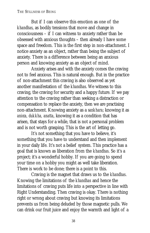But if I can observe this emotion as one of the *khandhas*, as bodily tensions that move and change in consciousness – if I can witness to anxiety rather than be obsessed with anxious thoughts – then already I have some space and freedom. This is the first step in non-attachment. I notice anxiety as an object, rather than being the subject of anxiety. There is a difference between being an anxious person and knowing anxiety as an object of mind.

Anxiety arises and with the anxiety comes the craving not to feel anxious. This is natural enough. But in the practice of non-attachment this craving is also observed as yet another manifestation of the *khandhas*. We witness to this craving, the craving for security and a happy future. If we pay attention to the craving rather than seeking a distraction or compensation to replace the anxiety, then we are practising non-attachment. Knowing anxiety as a *sankhara*; knowing it as *anicca, dukkha, anatta*, knowing it as a condition that has arisen, that stays for a while, that is not a personal problem and is not worth grasping. This is the art of letting go.

It's not something that you have to believe, it's something that you have to understand and then implement in your daily life. It's not a belief system. This practice has a goal that is known as liberation from the *khandhas*. So it's a project; it's a wonderful hobby. If you are going to spend your time on a hobby you might as well take liberation. There is work to be done; there is a point to this.

Craving is the magnet that draws us to the *khandhas*. Knowing the limitations of the *khandhas* and hence the limitations of craving puts life into a perspective in line with Right Understanding. Then craving is okay. There is nothing right or wrong about craving but knowing its limitations prevents us from being deluded by those magnetic pulls. We can drink our fruit juice and enjoy the warmth and light of a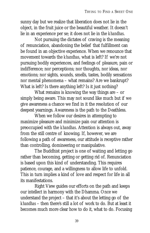sunny day but we realize that liberation does not lie in the object, in the fruit juice or the beautiful weather. It doesn't lie in an experience per se; it does not lie in the *khandhas*.

Not pursuing the dictates of craving is the meaning of renunciation, abandoning the belief that fulfillment can be found in an objective experience. When we renounce that movement towards the *khandhas*, what is left? If we're not pursuing bodily experiences, and feelings of pleasure, pain or indifference; nor perceptions; nor thoughts, nor ideas, nor emotions; nor sights, sounds, smells, tastes, bodily sensations nor mental phenomena – what remains? Are we bankrupt? What is left? Is there anything left? Is it just nothing?

What remains is knowing the way things are – or simply being aware. This may not sound like much but if we give awareness a chance we find in it the resolution of our deepest yearnings. Awareness is the path to the Deathless.

When we follow our desires in attempting to maximize pleasure and minimize pain our attention is preoccupied with the *khandhas*. Attention is always out, away from the still centre of knowing. If, however, we are following a path of awareness, our attitude is receptive rather than controlling, domineering or manipulative.

The Buddhist project is one of waiting and letting go rather than becoming, getting or getting rid of. Renunciation is based upon this kind of understanding. This requires patience, courage, and a willingness to allow life to unfold. This in turn implies a kind of love and respect for life in all its manifestations.

Right View guides our efforts on the path and keeps our intellect in harmony with the Dhamma. Once we understand the project – that it's about the letting go of the *khandhas* – then there's still a lot of work to do. But at least it becomes much more clear how to do it, what to do. Focusing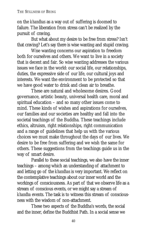on the *khandhas* as a way out of suffering is doomed to failure. The liberation from stress can't be realized by the pursuit of craving.

But what about my desire to be free from stress? Isn't that craving? Let's say there is wise wanting and stupid craving.

Wise wanting concerns our aspiration to freedom both for ourselves and others. We want to live in a society that is decent and fair. So wise wanting addresses the various issues we face in the world: our social life, our relationships, duties, the expressive side of our life, our cultural joys and interests. We want the environment to be protected so that we have good water to drink and clean air to breathe.

These are natural and wholesome desires. Good governance, artistic beauty, universal health care, moral and spiritual education – and so many other issues come to mind. These kinds of wishes and aspirations for ourselves, our families and our societies are healthy and fall into the societal teachings of the Buddha. These teachings include ethics, altruism, right relationships, right communication and a range of guidelines that help us with the various choices we must make throughout the days of our lives. We desire to be free from suffering and we wish the same for others. These suggestions from the teachings guide us in the way of smart desire.

Parallel to these social teachings, we also have the inner teachings – among which an understanding of attachment to and letting go of the *khandhas* is very important. We reflect on the contemplative teachings about our inner world and the workings of consciousness. As part of that we observe life as a stream of conscious events, or we might say a stream of *khandha* events. The task is to witness this stream of consciousness with the wisdom of non-attachment.

These two aspects of the Buddha's words, the social and the inner, define the Buddhist Path. In a social sense we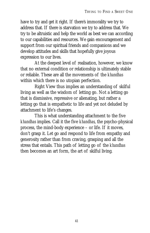have to try and get it right. If there's immorality we try to address that. If there is starvation we try to address that. We try to be altruistic and help the world as best we can according to our capabilities and resources. We gain encouragement and support from our spiritual friends and companions and we develop attitudes and skills that hopefully give joyous expression to our lives.

At the deepest level of realisation, however, we know that no external condition or relationship is ultimately stable or reliable. These are all the movements of the *khandhas* within which there is no utopian perfection.

Right View thus implies an understanding of skilful living as well as the wisdom of letting go. Not a letting go that is dismissive, repressive or alienating, but rather a letting go that is empathetic to life and yet not deluded by attachment to life's changes.

This is what understanding attachment to the five *khandhas* implies. Call it the five *khandhas*, the psycho-physical process, the mind-body experience – or life. If it moves, don't grasp it. Let go and respond to life from empathy and generosity rather than from craving, grasping and all the stress that entails. This path of letting go of the *khandhas* then becomes an art form, the art of skilful living.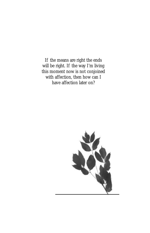If the means are right the ends will be right. If the way I'm living this moment now is not conjoined with affection, then how can I have affection later on?

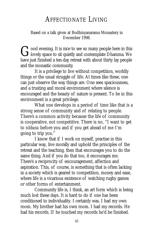## AFFECTIONATE LIVING

Based on a talk given at Bodhinyanarama Monastery in December 1998.

Good evening. It is nice to see so many people here in this Glovely space to sit quietly and contemplate Dhamma. We lovely space to sit quietly and contemplate Dhamma. We have just finished a ten-day retreat with about thirty lay people and the monastic community.

It is a privilege to live without competition, worldly things or the usual struggle of life. At times like these, one can just observe the way things are. One sees spaciousness, and a trusting and moral environment where silence is encouraged and the beauty of nature is present. To be in this environment is a great privilege.

What one develops in a period of time like that is a strong sense of community and of relating to people. There's a common activity because the life of community is cooperative, not competitive. There is no, "I want to get to *nibbana* before you and if you get ahead of me I'm going to trip you."

I know that if I work on myself, practise in this particular way, live morally and uphold the principles of the retreat and the teaching, then that encourages you to do the same thing. And if you do that too, it encourages me. There's a reciprocity of encouragement, affection and aspiration. This, of course, is something that is often lacking in a society which is geared to competition, money and ease, where life is a vicarious existence of watching rugby games or other forms of entertainment.

Community life is, I think, an art form which is being much lost these days. It is hard to do if one has been conditioned to individuality. I certainly was. I had my own room. My brother had his own room. I had my records. He had his records. If he touched my records he'd be finished.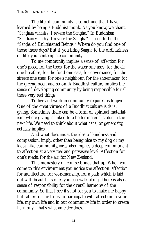The life of community is something that I have learned by being a Buddhist monk. As you know, we chant, "*Sangham vandeh* / I revere the Sangha." In Buddhism "*Sangham vandeh* / I revere the Sangha" is seen to be the "*Sangha* of Enlightened Beings." Where do you find one of those these days? But if you bring *Sangha* to the ordinariness of life, you contemplate community.

To me community implies a sense of affection for one's place, for the trees, for the water one uses, for the air one breathes, for the food one eats, for governance, for the streets one uses, for one's neighbour, for the shoemaker, for the greengrocer, and so on. A Buddhist culture implies the sense of developing community by being responsible for all these very real things.

To live and work in community requires us to give. One of the great virtues of a Buddhist culture is *dana*, giving. Sometimes there can be a form of spiritual materialism, where giving is linked to a better material status in the next life. We need to think about what *dana*, or generosity, actually implies.

And what does *metta*, the idea of kindness and compassion, imply, other than being nice to my dog or my kids? Like community, *metta* also implies a deep commitment to affection at a very real and pervasive level. Affection for one's roads, for the air, for New Zealand.

This monastery of course brings that up. When you come to this environment you notice the affection: affection for architecture, for workmanship, for a path which is laid out with beautiful stones you can walk along. There is also a sense of responsibility for the overall harmony of the community. So that I see it's not for you to make me happy but rather for me to try to participate with affection in your life, my own life and in our community life in order to create harmony. That's what an elder does.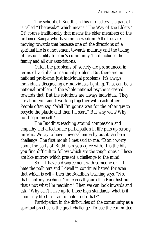The school of Buddhism this monastery is a part of is called "Theravada" which means "The Way of the Elders." Of course traditionally that means the elder members of the ordained *Sangha* who have much wisdom. All of us are moving towards that because one of the directions of a spiritual life is a movement towards maturity and the taking of responsibility for one's community. That includes the family and all our associations.

Often the problems of society are pronounced in terms of a global or national problem. But there are no national problems, just individual problems. It's always individuals disagreeing or individuals fighting. That can be a national problem if the whole national psyche is geared towards that. But the solutions are always individual. They are about you and I working together with each other. People often say, "Well I'm gonna wait for the other guy to recycle the plastic and then I'll start." But why wait? Why not begin oneself?

The Buddhist teaching around compassion and empathy and affectionate participation in life puts up strong mirrors. We try to have universal empathy but it can be a challenge. The first monk I met said to me, "Don't worry about the parts of Buddhism you agree with. It is the bits you find difficult to follow which are the tough ones." These are like mirrors which present a challenge to the mind.

So if I have a disagreement with someone or if I hate the polluters and I dwell in continual hatred for even that which is evil – then the Buddha's teaching says, "No, that's not my teaching. You can call yourself a Buddhist but that's not what I'm teaching." Then we can look inwards and ask, "Why can't I live up to those high standards; what is it about my life that I am unable to do that?"

Participation in the difficulties of the community as a spiritual practice is the great challenge. To use the committee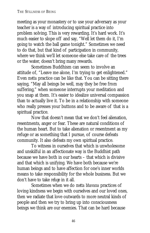meeting as your monastery or to use your adversary as your teacher is a way of introducing spiritual practice into problem solving. This is very rewarding. It's hard work. It's much easier to slope off and say, "Well let them do it, I'm going to watch the ball game tonight." Sometimes we need to do that, but that kind of participation in community, where we think we'll let someone else take care of the trees or the water, doesn't bring many rewards.

Sometimes Buddhism can seem to involve an attitude of, "Leave me alone, I'm trying to get enlightened." Even *metta* practice can be like that. You can be sitting there saying, "May all beings be well, may they be free from suffering," when someone interrupts your meditation and you snap at them. It's easier to idealize universal compassion than to actually live it. To be in a relationship with someone who really presses your buttons and to be aware of that is a spiritual practice.

Now that doesn't mean that we don't feel alienation, resentments, anger or fear. These are natural conditions of the human heart. But to take alienation or resentment as my refuge or as something that I pursue, of course defeats community. It also defeats my own spiritual practice.

To witness in ourselves that which is unwholesome and unskilful in an affectionate way is the Buddhist path because we have both in our hearts – that which is divisive and that which is unifying. We have both because we're human beings and to have affection for one's inner worlds means to take responsibility for the whole business. But we don't have to take *refuge* in it all.

Sometimes when we do *metta bhavana* practices of loving kindness we begin with ourselves and our loved ones, then we radiate that love outwards to more neutral kinds of people and then we try to bring up into consciousness beings we think are our enemies. That can be hard because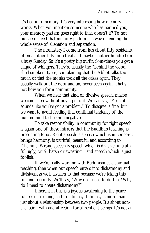it's tied into memory. It's very interesting how memory works. When you mention someone who has harmed you, your memory pattern goes right to that, doesn't it? To not pursue or feed that memory pattern is a way of ending the whole sense of alienation and separation.

The monastery I come from has about fifty residents, often another fifty on retreat and maybe another hundred on a busy Sunday. So it's a pretty big outfit. Sometimes you get a clique of whingers. They're usually the "behind the woodshed smoker" types, complaining that the Abbot talks too much or that the monks took all the cakes again. They usually walk out the door and are never seen again. That's not how you form community.

When we hear that kind of divisive speech, maybe we can listen without buying into it. We can say, "Yeah, it sounds like you've got a problem." To disagree is fine, but we want to avoid feeding that continual tendency of the human mind to become negative.

To take responsibility in community for right speech is again one of these mirrors that the Buddha's teaching is presenting to us. Right speech is speech which is in concord, brings harmony, is truthful, beautiful and according to Dhamma. Wrong speech is speech which is divisive, untruthful, ugly, cruel, harsh or swearing – and speech which is just foolish.

If we're really working with Buddhism as a spiritual teaching, then when our speech enters into disharmony and divisiveness we'll awaken to that because we're taking this training seriously. We'll say, "Why do I need to do that? Why do I need to create disharmony?"

Inherent in this is a joyous awakening to the peacefulness of relating, and to intimacy. Intimacy is more than just about a relationship between two people. It's about nonalienation with and affection for all sentient beings. It's not an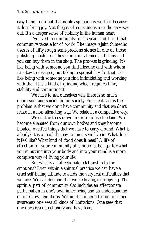easy thing to do but that noble aspiration is worth it because it does bring joy. Not the joy of consumerism or the easy way out. It's a deeper sense of nobility in the human heart.

I've lived in community for 25 years and I find that community takes a lot of work. The image Ajahn Sumedho uses is of fifty rough semi-precious stones in one of those polishing machines. They come out all nice and shiny and you can buy them in the shop. The process is grinding. It's like being with someone you find irksome and with whom it's okay to disagree, but taking responsibility for that. Or like being with someone you find intimidating and working with that. It is a kind of grinding which requires time, stability and commitment.

We have to ask ourselves why there is so much depression and suicide in our society. For me it seems the problem is that we don't have community and that we don't relate in a non-alienating way. We relate in a competitive way.

We cut the trees down in order to use the land. We become alienated from our own bodies and they become bloated, overfed things that we have to carry around. What is a body? It is one of the environments we live in. What does it feel like? What kind of food does it need? A life of affection for your community of emotional beings, for what you're putting into your body and into your mind is a more complete way of living your life.

But what is an affectionate relationship to the emotions? Even within a spiritual practice we can have a cruel self-hating attitude towards the very real difficulties that we face. We can demand that we be loving, or forgiving. The spiritual part of community also includes an affectionate participation in one's own inner being and an understanding of one's own emotions. Within that inner affection or inner awareness one sees all kinds of limitations. One sees that one does resent, get angry and have fears.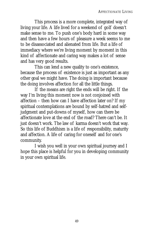This process is a more complete, integrated way of living your life. A life lived for a weekend of golf doesn't make sense to me. To push one's body hard in some way and then have a few hours of pleasure a week seems to me to be disassociated and alienated from life. But a life of immediacy where we're living moment by moment in this kind of affectionate and caring way makes a lot of sense and has very good results.

This can lend a new quality to one's existence, because the process of existence is just as important as any other goal we might have. The doing is important because the doing involves affection for all the little things.

If the means are right the ends will be right. If the way I'm living this moment now is not conjoined with affection – then how can I have affection later on? If my spiritual contemplations are bound by self-hatred and selfjudgment and put-downs of myself, how can there be affectionate love at the end of the road? There can't be. It just doesn't work. The law of karma doesn't work that way. So this life of Buddhism is a life of responsibility, maturity and affection. A life of caring for oneself and for one's community.

I wish you well in your own spiritual journey and I hope this place is helpful for you in developing community in your own spiritual life.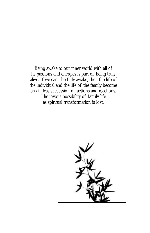Being awake to our inner world with all of its passions and energies is part of being truly alive. If we can't be fully awake, then the life of the individual and the life of the family become an aimless succession of actions and reactions. The joyous possibility of family life as spiritual transformation is lost.

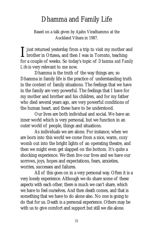## Dhamma and Family Life

Based on a talk given by Ajahn Viradhammo at the Auckland Vihara in 1987.

I just returned yesterday from a trip to visit my mother and<br>brother in Ottawa, and then I was in Toronto, teaching brother in Ottawa, and then I was in Toronto, teaching for a couple of weeks. So today's topic of *Dhamma and Family Life* is very relevant to me now.

Dhamma is the truth of the way things are, so Dhamma in family life is the practice of understanding truth in the context of family situations. The feelings that we have in the family are very powerful. The feelings that I have for my mother and brother and his children, and for my father who died several years ago, are very powerful conditions of the human heart, and these have to be understood.

Our lives are both individual and social. We have an inner world which is very personal, but we function in an outer world of people, things and situations.

As individuals we are alone. For instance, when we are born into this world we come from a nice, warm, cozy womb out into the bright lights of an operating theatre, and then we might even get slapped on the bottom. It's quite a shocking experience. We then live our lives and we have our sorrows, joys, hopes and expectations, fears, anxieties, worries, successes and failures.

All of this goes on in a very personal way. Often it is a very lonely experience. Although we do share some of these aspects with each other, there is much we can't share, which we have to feel ourselves. And then death comes, and that is something that we have to do alone also. No one is going to do that for us. Death is a personal experience. Others may be with us to give comfort and support but still we die alone.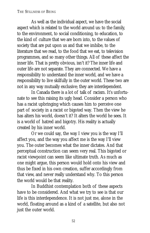As well as the individual aspect, we have the social aspect which is related to the world around us: to the family, to the environment, to social conditioning, to education, to the kind of culture that we are born into, to the values of society that are put upon us and that we imbibe, to the literature that we read, to the food that we eat, to television programmes, and so many other things. All of these affect the inner life. That is pretty obvious, isn't it? The inner life and outer life are not separate. They are connected. We have a responsibility to understand the inner world, and we have a responsibility to live skilfully in the outer world. These two are not in any way mutually exclusive; they are interdependent.

In Canada there is a lot of talk of racism. It's unfortunate to see this raising its ugly head. Consider a person who has a racist upbringing which causes him to perceive one part of society in a racist or bigoted way. Then the view he has alters his world, doesn't it? It alters the world he sees. It is a world of hatred and bigotry. His reality is actually created by his inner world.

Or we could say, the way I view you is the way I'll affect you, and the way you affect me is the way I'll view you. The outer becomes what the inner dictates. And that perceptual construction can seem very real. This bigoted or racist viewpoint can seem like ultimate truth. As much as one might argue, this person would hold onto his view and thus be fixed in his own creation, suffer accordingly from that view, and never really understand why. To this person the world would be that reality.

In Buddhist contemplation both of these aspects have to be considered. And what we try to see is that our life is this interdependence. It is not just me, alone in the world, floating around as a kind of a satellite, but also not just the outer world.

52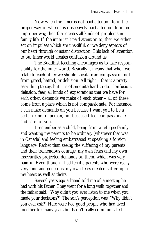Now when the inner is not paid attention to in the proper way, or when it is obsessively paid attention to in an improper way, then that creates all kinds of problems in family life. If the inner isn't paid attention to, then we either act on impulses which are unskilful, or we deny aspects of our heart through constant distraction. This lack of attention to our inner world creates confusion around us.

The Buddhist teaching encourages us to take responsibility for the inner world. Basically it means that when we relate to each other we should speak from compassion, not from greed, hatred, or delusion. All right – that *is* a pretty easy thing to say, but it is often quite hard to do. Confusion, delusion, fear, all kinds of expectations that we have for each other, demands we make of each other – all of these come from a place which is not compassionate. For instance, I can make demands on you because I want you to be a certain kind of person, not because I feel compassionate and care for you.

I remember as a child, being from a refugee family and wanting my parents to be ordinary (whatever that was in Canada) and feeling embarrassed at speaking a foreign language. Rather than seeing the suffering of my parents and their tremendous courage, my own fears and my own insecurities projected demands on them, which was very painful. Even though I had terrific parents who were really very kind and generous, my own fears created suffering in my heart as well as theirs.

Several years ago a friend told me of a meeting he had with his father. They went for a long walk together and the father said, "Why didn't you ever listen to me when you made your decisions?" The son's perception was, "Why didn't you ever ask?" Here were two good people who had lived together for many years but hadn't really communicated –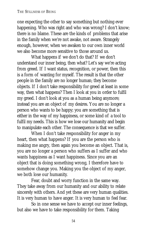one expecting the other to say something but nothing ever happening. Who was right and who was wrong? I don't know; there is no blame. These are the kinds of problems that arise in the family when we're not awake, not aware. Strangely enough, however, when we awaken to our own inner world we also become more sensitive to those around us.

What happens if we don't do that? If we don't understand our inner being, then what? Let's say we're acting from greed. If I want status, recognition, or power, then this is a form of wanting for myself. The result is that the other people in the family are no longer human; they become objects. If I don't take responsibility for greed at least in some way, then what happens? Then I look at you in order to fulfil my greed. I don't look at you as a human being anymore; instead you are an object of my desires. You are no longer a person who wants to be happy; you are something that is either in the way of my happiness, or some kind of a tool to fulfil my needs. This is how we lose our humanity and begin to manipulate each other. The consequence is that we suffer.

When I don't take responsibility for anger in my heart, then what happens? If you are the person who is making me angry, then again you become an object. That is, you are no longer a person who suffers as I suffer and who wants happiness as I want happiness. Since you are an object that is doing something wrong, I therefore have to somehow change you. Making you the object of my anger, we both lose our humanity.

Fear, doubt and worry function in the same way. They take away from our humanity and our ability to relate sincerely with others. And yet these are very human qualities. It is very human to have anger. It is very human to feel fear.

So in one sense we have to accept our inner feelings, but also we have to take responsibility for them. Taking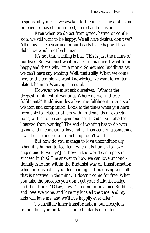responsibility means we awaken to the unskilfulness of living on energies based upon greed, hatred and delusion.

Even when we do act from greed, hatred or confusion, we still want to be happy. We all have desires, don't we? All of us have a yearning in our hearts to be happy. If we didn't we would not be human.

It's not that wanting is bad. This is just the nature of our lives. But we must want in a skilful manner. I want to be happy and that's why I'm a monk. Sometimes Buddhists say we can't have any wanting. Well, that's silly. When we come here to the temple we want knowledge, we want to contemplate Dhamma. Wanting is natural.

However, we must ask ourselves, "What is the deepest fulfilment of wanting? Where do we find true fulfilment?" Buddhism describes true fulfilment in terms of wisdom and compassion. Look at the times when you have been able to relate to others with no demands or expectations, with an open and generous heart. Didn't you also feel liberated from wanting? The end of wanting has to do with giving and unconditional love, rather than acquiring something I want or getting rid of something I don't want.

But how do you manage to love unconditionally when it is human to feel fear, when it is human to have anger, and to worry? Just how in the world can a person succeed in this? The answer to how we can love unconditionally is found within the Buddhist way of transformation, which means actually understanding and practising with all that is negative in the mind. It doesn't come for free. When you take the precepts you don't get your Buddhist badge and then think, "Okay, now I'm going to be a nice Buddhist, and love everyone, and love my kids all the time, and my kids will love me, and we'll live happily ever after."

To facilitate inner transformation, our lifestyle is tremendously important. If our standards of outer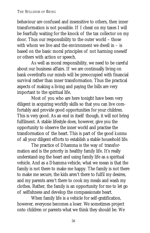behaviour are confused and insensitive to others, then inner transformation is not possible. If I cheat on my taxes I will be fearfully waiting for the knock of the tax collector on my door. Thus our responsibility to the outer world – those with whom we live and the environment we dwell in – is based on the basic moral principles of not harming oneself or others with action or speech.

As well as moral responsibility, we need to be careful about our business affairs. If we are continually living on bank overdrafts our minds will be preoccupied with financial survival rather than inner transformation. Thus the practical aspects of making a living and paying the bills are very important to the spiritual life.

Most of you who are here tonight have been very diligent in acquiring worldly skills so that you can live comfortably and provide good opportunities for your children. This is very good. As an end in itself though, it will not bring fulfilment. A stable lifestyle does, however, give you the opportunity to observe the inner world and practise the transformation of the heart. This is part of the good *kamma* of all your diligent efforts to establish a stable household life.

The practice of Dhamma is the way of transformation and is the priority in healthy family life. It's really understand-ing the heart and using family life as a spiritual vehicle. And as a Dhamma vehicle, what we mean is that the family is not there to make me happy. The family is not there to make me secure, the kids aren't there to fulfil my desires, and my parents aren't there to cook my meals and wash my clothes. Rather, the family is an opportunity for me to let go of selfishness and develop the compassionate heart.

When family life is a vehicle for self-gratification, however, everyone becomes a loser. We sometimes project onto children or parents what we think they should be. We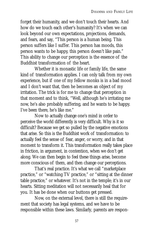forget their humanity, and we don't touch their hearts. And how do we touch each other's humanity? It's when we can look beyond our own expectations, projections, demands, and fears, and say, "This person is a human being. This person suffers like I suffer. This person has moods, this person wants to be happy, this person doesn't like pain." This ability to change our perception is the essence of the Buddhist transformation of the heart.

Whether it is monastic life or family life, the same kind of transformation applies. I can only talk from my own experience, but if one of my fellow monks is in a bad mood and I don't want that, then he becomes an object of my irritation. The trick is for me to change that perception in that moment and to think, "Well, although he's irritating me now, he's also probably suffering, and he wants to be happy. I've been there, he's like me."

Now to actually change one's mind in order to perceive the world differently is very difficult. Why is it so difficult? Because we get so pulled by the negative emotions that arise. So this is the Buddhist work of transformation: to actually feel the sense of fear, anger, or worry, and in that moment to transform it. This transformation really takes place in friction, in argument, in contention, when we don't get along. We can then begin to feel these things arise, become more conscious of them, and then change our perceptions.

That's real practice. It's what we call "marketplace practice," or "watching TV practice," or "sitting at the dinner table practice," or whatever. It's not in the temple; it's in our hearts. Sitting meditation will not necessarily heal that for you. It has be done when our buttons get pressed.

Now, on the external level, there is still the requirement that society has legal systems, and we have to be responsible within these laws. Similarly, parents are respon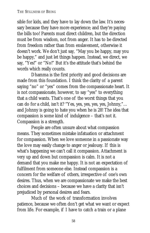sible for kids, and they have to lay down the law. It's necessary because they have more experience; and they're paying the bills too! Parents must direct children, but the direction must be from wisdom, not from anger. It has to be directed from freedom rather than from enslavement, otherwise it doesn't work. We don't just say, "May you be happy, may you be happy," and just let things happen. Instead, we direct, we say, "Yes!" or "No!" But it's the attitude that's behind the words which really counts.

Dhamma is the first priority and good decisions are made from this foundation. I think the clarity of a parent saying "no" or "yes" comes from the compassionate heart. It is not compassionate, however, to say "yes" to everything that a child wants. That's one of the worst things that you can do for a child, isn't it? "Yes, yes, yes, yes, yes, Johnny,"… and Johnny is going to hate you when he is 28! The idea that compassion is some kind of indulgence – that's not it. Compassion is a strength.

People are often unsure about what compassion means. They sometimes mistake infatuation or attachment for compassion. When we love someone in a passionate way the love may easily change to anger or jealousy. If this is what's happening we can't call it compassion. Attachment is very up and down but compassion is calm. It is not a demand that you make me happy. It is not an expectation of fulfilment from someone else. Instead compassion is a concern for the welfare of others, irrespective of one's own desires. Thus, when we are compassionate we make the best choices and decisions – because we have a clarity that isn't prejudiced by personal desires and fears.

Much of the work of transformation involves patience, because we often don't get what we want or expect from life. For example, if I have to catch a train or a plane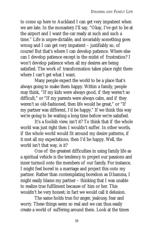to come up here to Auckland I can get very impatient when we are late. In the monastery I'll say, "Okay, I've got to be at the airport and I want the car ready at such and such a time." Life is unpre-dictable, and invariably something goes wrong and I can get very impatient – justifiably so, of course! But that's where I can develop patience. Where else can I develop patience except in the midst of frustration? I won't develop patience when all my desires are being satisfied. The work of transformation takes place right there where I can't get what I want.

Many people expect the world to be a place that's always going to make them happy. Within a family, people may think, "If my kids were always good, if they weren't so difficult," or "If my parents were always calm, and if they weren't so old-fashioned, then life would be great," or "If my partner was different, I'd be happy." If we think this way we're going to be waiting a long time before we're satisfied.

It's a foolish view, isn't it? To think that if the whole world was just right then I wouldn't suffer. In other words, if the whole world would fit around my desire patterns, if it met all my expectations, then I'd be happy. Well, the world isn't that way, is it?

One of the greatest difficulties in using family life as a spiritual vehicle is the tendency to project our passions and inner turmoil onto the members of our family. For instance, I might feel bored in a marriage and project this onto my partner. Rather than contemplating boredom as Dhamma, I might easily blame my partner – thinking that I was unable to realize true fulfilment because of him or her. This wouldn't be very honest; in fact we would call it delusion.

The same holds true for anger, jealousy, fear and worry. These things seem so real and we can thus easily create a world of suffering around them. Look at the times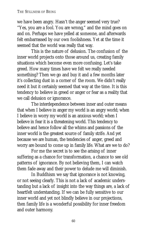we have been angry. Hasn't the anger seemed very true? "Yes, you are a fool. You are wrong," and the mind goes on and on. Perhaps we have yelled at someone, and afterwards felt embarrassed by our own foolishness. Yet at the time it seemed that the world was really that way.

This is the nature of delusion. The confusion of the inner world projects onto those around us, creating family situations which become even more confusing. Let's take greed. How many times have we felt we really needed something? Then we go and buy it and a few months later it's collecting dust in a corner of the room. We didn't really need it but it certainly seemed that way at the time. It is this tendency to believe in greed or anger or fear as a reality that we call delusion or ignorance.

The interdependence between inner and outer means that when I believe in anger my world is an angry world; when I believe in worry my world is an anxious world; when I believe in fear it is a threatening world. This tendency to believe and hence follow all the whims and passions of the inner world is the greatest source of family strife. And yet because we are human, the tendencies of anger, greed and worry are bound to come up in family life. What are we to do?

For me the secret is to see the arising of inner suffering as a chance for transformation, a chance to see old patterns of ignorance. By not believing them, I can watch them fade away and their power to delude me will diminish.

In Buddhism we say that ignorance is not knowing, or not seeing clearly. This is not a lack of academic understanding but a lack of insight into the way things are, a lack of heartfelt understanding. If we can be fully sensitive to our inner world and yet not blindly believe in our projections, then family life is a wonderful possibility for inner freedom and outer harmony.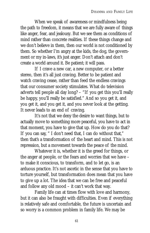When we speak of awareness or mindfulness being the path to freedom, it means that we are fully aware of things like anger, fear, and jealousy. But we see them as conditions of mind rather than concrete realities. If these things change and we don't believe in them, then our world is not conditioned by them. So whether I'm angry at the kids, the dog, the government or my in-laws, it's just anger. Don't attach and don't create a world around it. Be patient; it will pass.

If I crave a new car, a new computer, or a better stereo, then it's all just craving. Better to be patient and watch craving cease, rather than feed the endless cravings that our consumer society stimulates. What do television adverts tell people all day long? – "If you get this you'll really be happy, you'll really be satisfied." And so you get it, and you get it, and you get it, and you never look at the getting. It never leads to an end of craving.

It's not that we deny the desire to want things, but to actually move to something more peaceful, you have to act in that moment, you have to give that up. How do you do that? If you can say, " I don't need that, I can do without that," then that's a transformation of the heart and mind. This is not repression, but a movement towards the peace of the mind.

Whatever it is, whether it is the greed for things, or the anger at people, or the fears and worries that we have – to make it conscious, to transform, and to let go, is an arduous practice. It's not ascetic in the sense that you have to torture yourself, but transformation does mean that you have to give up a lot. The idea that we can be free and peaceful and follow any old mood – it can't work that way.

Family life can at times flow with love and harmony, but it can also be fraught with difficulties. Even if everything is relatively safe and comfortable, the future is uncertain and so worry is a common problem in family life. We may be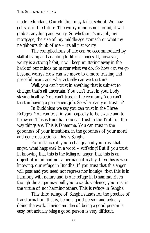made redundant. Our children may fail at school. We may get sick in the future. The worry-mind is not proud, it will grab at anything and worry. So whether it's my job, my mortgage, the size of my middle-age stomach or what my neighbours think of me – it's all just worry.

The complications of life can be accommodated by skilful living and adapting to life's changes. If, however, worry is a strong habit, it will keep muttering away in the back of our minds no matter what we do. So how can we go beyond worry? How can we move to a more trusting and peaceful heart, and what actually can we trust in?

Well, you can't trust in anything that is subject to change; that's all uncertain. You can't trust in your body staying healthy. You can't trust in the economy. You can't trust in having a permanent job. So what can you trust in?

In Buddhism we say you can trust in the Three Refuges. You can trust in your capacity to be awake and to be aware. This is Buddha. You can trust in the Truth of the way things are. This is Dhamma. You can trust in the goodness of your intentions, in the goodness of your moral and generous actions. This is Sangha.

For instance, if you feel angry and you trust that anger, what happens? In a word – suffering! But if you trust in knowing that this is the *feeling* of anger, that this is an object of mind and not a permanent reality, then this is wise knowing, our refuge in Buddha. If you trust that this anger will pass and you need not repress nor indulge, then this is in harmony with nature and is our refuge in Dhamma. Even though the anger may pull you towards violence, you trust in the virtue of not harming others. This is refuge in Sangha.

This third refuge of Sangha stands for the practice of transformation; that is, being a good person and actually doing the work. Having an idea of being a good person is easy, but actually *being* a good person is very difficult.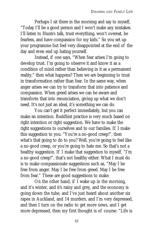Perhaps I sit there in the morning and say to myself, "Today I'll be a good person and I won't make any mistakes. I'll listen to *Bhante's* talk, trust everything, won't overeat, be fearless, and have compassion for my kids." So you set up your programme but feel very disappointed at the end of the day and even end up hating yourself.

Instead, if one says, "When fear arises I'm going to develop trust. I'm going to observe it and know it as a condition of mind rather than believing in it as a permanent reality," then what happens? Then we are beginning to trust in transformation rather than fear. In the same way, when anger arises we can try to transform that into patience and compassion. When greed arises we can be aware and transform that into renunciation, giving up what we don't need. It's not just an ideal, it's something we can do.

You can't get it perfect immediately, but you can make an intention. Buddhist practice is very much based on right intention or right suggestion. We have to make the right suggestions to ourselves and to our families. If I make this suggestion to you: "You're a no-good creep!", then what's that going to do to you? Well, you're going to feel like a no-good creep, or you're going to hate me. So that's not a healthy suggestion. If I make that suggestion to myself, "I'm a no-good creep!", that's not healthy either. What I must do is to make compassionate suggestions such as, "May I be free from anger. May I be free from greed. May I be free from fear." These are good suggestions to make.

On the other hand, if I wake up in the morning, and it's winter, and it's rainy and grey, and the economy is going down the tube, and I've just heard about another six rapes in Auckland, and 14 murders, and I'm very depressed, and then I turn on the radio to get more news, and I get more depressed, then my first thought is of course: "Life is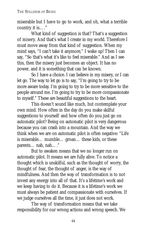miserable but I have to go to work, and oh, what a terrible country it is…."

What kind of suggestion is that? That's a suggestion of misery. And that's what I create in my world. Therefore I must move away from that kind of suggestion. When my mind says, "I can't take it anymore," I wake up! Then I can say, "So that's what it's like to feel miserable." And as I see this, then the misery just becomes an object. It has no power, and it is something that can be known.

So I have a choice. I can believe in my misery, or I can let go. The way to let go is to say, "I'm going to try to be more aware today. I'm going to try to be more sensitive to the people around me. I'm going to try to be more compassionate to myself." These are beautiful suggestions to the heart.

This doesn't sound like much, but contemplate your own mind. How often in the day do you make skilful suggestions to yourself and how often do you just go on automatic pilot? Being on automatic pilot is very dangerous because you can crash into a mountain. And the way we think when we are on automatic pilot is often negative: "Life is miserable… mumble… groan… these kids, or these parents… nah, nah…."

But to awaken means that we no longer run on automatic pilot. It means we are fully alive. To notice a thought which is unskilful, such as the thought of worry, the thought of fear, the thought of anger, is the way of mindfulness. And then the way of transformation is to not invest any energy into all of that. It's a lifetime's work and we keep having to do it. Because it is a lifetime's work we must always be patient and compassionate with ourselves. If we judge ourselves all the time, it just does not work.

The way of transformation means that we take responsibility for our wrong actions and wrong speech. We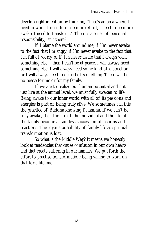develop right intention by thinking, "That's an area where I need to work, I need to make more effort, I need to be more awake, I need to transform." There is a sense of personal responsibility, isn't there?

If I blame the world around me, if I'm never awake to the fact that I'm angry, if I'm never awake to the fact that I'm full of worry, or if I'm never aware that I always want something else – then I can't be at peace. I will always need something else. I will always need some kind of distraction or I will always need to get rid of something. There will be no peace for me or for my family.

If we are to realize our human potential and not just live at the animal level, we must fully awaken to life. Being awake to our inner world with all of its passions and energies is part of being truly alive. We sometimes call this the practice of Buddha knowing Dhamma. If we can't be fully awake, then the life of the individual and the life of the family become an aimless succession of actions and reactions. The joyous possibility of family life as spiritual transformation is lost.

So what is the Middle Way? It means we honestly look at tendencies that cause confusion in our own hearts and that create suffering in our families. We put forth the effort to practise transformation; being willing to work on that for a lifetime.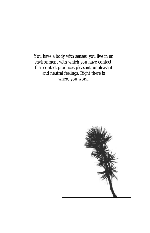You have a body with senses; you live in an environment with which you have contact; that contact produces pleasant, unpleasant and neutral feelings. Right there is where you work.

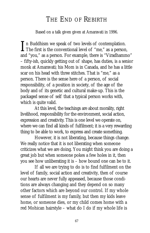## THE END OF REBIRTH

Based on a talk given given at Amaravati in 1996.

In Buddhism we speak of two levels of contemplation.<br>The first is the conventional level of "me," as a person The first is the conventional level of "me," as a person, and "you," as a person. For example, there is "Viradhammo" – fifty-ish, quickly getting out of shape, has duties, is a senior monk at Amaravati; his Mom is in Canada, and he has a little scar on his head with three stitches. That is "me," as a person. There is the sense here of a person, of social responsibility, of a position in society, of the age of the body and of its genetic and cultural make-up. This is the packaged sense of self that a typical person works with, which is quite valid.

At this level, the teachings are about morality, right livelihood, responsibility for the environment, social action, expression and creativity. This is one level we operate on, where we can find all kinds of fulfilment; it is a very rewarding thing to be able to work, to express and create something.

However, it is not liberating, because things change. We really notice that it is not liberating when someone criticizes what we are doing. You might think you are doing a great job but when someone pokes a few holes in it, then you see how unliberating it is – how bound one can be to it.

If all we are trying to do is to find fulfilment on the level of family, social action and creativity, then of course our hearts are never fully appeased, because those conditions are always changing and they depend on so many other factors which are beyond our control. If my whole sense of fulfilment is my family, but then my kids leave home, or someone dies, or my child comes home with a red Mohican hairstyle – what do I do if my whole life is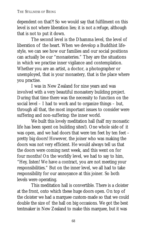dependent on that?! So we would say that fulfilment on this level is not where liberation lies; it is not a refuge, although that is not to put it down.

The second level is the Dhamma level, the level of liberation of the heart. When we develop a Buddhist lifestyle, we can see how our families and our social positions can actually be our "monasteries." They are the situations in which we practise inner vigilance and contemplation. Whether you are an artist, a doctor, a photographer or unemployed, that is your monastery, that is the place where you practise.

I was in New Zealand for nine years and was involved with a very beautiful monastery building project. During that time there was the necessity to function on the social level – I had to work and to organize things – but, through all that, the most important issues to consider were suffering and non-suffering: the inner world.

We built this lovely meditation hall (half my monastic life has been spent on building sites!). One whole side of it was open, and we had doors that were ten feet by ten feet – pretty big doors! However, the joiner who was making the doors was not very efficient. He would always tell us that the doors were coming next week, and this went on for four months! On the worldly level, we had to say to him, "Hey, listen! We have a contract, you are not meeting your responsibilities." But on the inner level, we all had to take responsibility for our annoyance at this joiner. So both levels were operating.

This meditation hall is convertible. There is a cloister at the front, onto which these huge doors open. On top of the cloister we had a marquee custom-made so that we could double the size of the hall on big occasions. We got the best tentmaker in New Zealand to make this marquee, but it was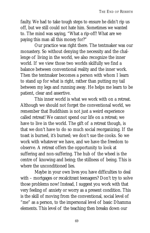faulty. We had to take tough steps to ensure he didn't rip us off, but we still could not hate him. Sometimes we wanted to. The mind was saying, "What a rip-off! What are we paying this man all this money for?"

Our practice was right there. The tentmaker was our monastery. So without denying the necessity and the challenge of living in the world, we also recognize the inner world. If we view those two worlds skilfully we find a balance between conventional reality and the inner work. Then the tentmaker becomes a person with whom I learn to stand up for what is right, rather than putting my tail between my legs and running away. He helps me learn to be patient, clear and assertive.

This inner world is what we work with on a retreat. Although we should not forget the conventional world, we remember that Buddhism is not just a weird experience called retreat! We cannot spend our life on a retreat; we have to live in the world. The gift of a retreat though, is that we don't have to do so much social reorganizing. If the toast is burned, it's burned; we don't sue the cooks. So we work with whatever we have, and we have the freedom to observe. A retreat offers the opportunity to look at suffering and non-suffering. The hub of the wheel is the centre of knowing and being; the stillness of being. This is where the unconditioned lies.

Maybe in your own lives you have difficulties to deal with – mortgages or recalcitrant teenagers? Don't try to solve those problems now! Instead, I suggest you work with that very feeling of anxiety or worry as a present condition. This is the skill of moving from the conventional, social level of "me" as a person, to the impersonal level of basic Dhamma elements. This level of the teaching then breaks down our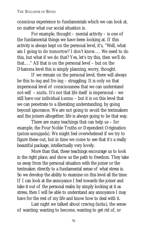conscious experience to fundamentals which we can look at, no matter what our social situation is.

For example, thought – mental activity – is one of the fundamental things we have been looking at. If this activity is always kept on the personal level, it's, "Well, what am I going to do tomorrow? I don't know…. We need to do this, but what if we do that? Yes, let's try this, then we'll do that…." All that is on the personal level – but on the Dhamma level this is simply planning, worry, thought.

If we remain on the personal level, there will always be this to-ing and fro-ing – struggling. It is only on that impersonal level of consciousness that we can understand not-self – *anatta*. It's not that life itself is impersonal – we still have our individual *kamma* – but it is on this level that we can penetrate to a liberating understanding, by going beyond ignorance. We are not going to avoid the tentmakers and the joiners altogether; life is always going to be that way.

There are many teachings that can help us – for example, the Four Noble Truths or Dependent Origination (*paticca-samuppada*). We might feel overwhelmed if we try to figure these out, but in time we come to see that it's a really beautiful package, intellectually very lovely.

More than that, these teachings encourage us to look in the right place, and show us the path to freedom. They take us away from the personal situation with the joiner or the tentmaker, directly to a fundamental sense of what stress is. So we develop the ability to examine on this level all the time. If I can look at the annoyance I feel towards the joiner and take it out of the personal realm by simply looking at it as stress, then I will be able to understand any annoyance I may have for the rest of my life and know how to deal with it.

Last night we talked about craving (*tanha*), the sense of wanting: wanting to become, wanting to get rid of, or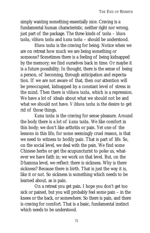simply wanting something essentially nice. Craving is a fundamental human characteristic, neither right nor wrong, just part of the package. The three kinds of *tanha* – *bhava tanha*, *vibhava tanha* and *kama tanha* – should be understood.

*Bhava tanha* is the craving for being. Notice when we are on retreat how much we are being something or someone? Sometimes there is a feeling of being kidnapped by the memory; we find ourselves back in time. Or maybe it is a future possibility. In thought, there is the sense of being a person, of becoming, through anticipation and expectation. If we are not aware of that, then our attention will be preoccupied, kidnapped by a constant level of stress in the mind. Then there is *vibhava tanha*, which is a repression. We have a lot of ideals about what we should not be and what we should not have. *Vibhava tanha* is the desire to get rid of those things.

*Kama tanha* is the craving for sense pleasure. Around the body there is a lot of *kama tanha*. We like comfort in this body; we don't like arthritis or pain. Yet one of the lessons in this life, for some seemingly cruel reason, is that we need to witness to bodily pain. That is part of life. So, on the social level, we deal with the pain. We find some Chinese herbs or get the acupuncturist to poke us, whatever we have faith in; we work on that level. But, on the Dhamma level, we reflect: there is sickness. Why is there sickness? Because there is birth. That is just the way it is, like it or not. So sickness is something which needs to be learned about, as is pain.

On a retreat you get pain. I hope you don't get too sick or pained, but you will probably feel some pain – in the knees or the back, or somewhere. So there is pain, and there is craving for comfort. That is a basic, fundamental instinct which needs to be understood.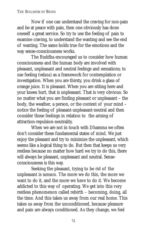Now if one can understand the craving for non-pain and be at peace with pain, then one obviously has done oneself a great service. So try to use the feeling of pain to examine craving, to understand the wanting and see the end of wanting. The same holds true for the emotions and the way sense-consciousness works.

The Buddha encouraged us to consider how human consciousness and the human body are involved with pleasant, unpleasant and neutral feelings and sensations; to use feeling (*vedana*) as a framework for contemplation or investigation. When you are thirsty, you drink a glass of orange juice. It is pleasant. When you are sitting here and your knees hurt, that is unpleasant. That is very obvious. So no matter what you are finding pleasant or unpleasant – the body, the weather, a person, or the content of your mind – notice the feeling of pleasant-unpleasant-neutral and then consider these feelings in relation to the arising of attraction-repulsion-neutrality.

When we are not in touch with Dhamma we often don't consider these fundamental states of mind. We just enjoy the pleasant and try to minimize the unpleasant, which seems like a logical thing to do. But then that keeps us very restless because no matter how hard we try to do this, there will always be pleasant, unpleasant and neutral. Senseconsciousness is this way.

Seeking the pleasant, trying to be rid of the unpleasant is *samsara*. The more we do this, the more we want to do it, and the more we have to do it. We become addicted to this way of operating. We get into this very restless phenomenon called rebirth – becoming, doing, all the time. And this takes us away from our real home. This takes us away from the unconditioned, because pleasure and pain are always conditioned. As they change, we feel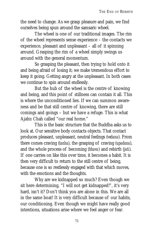the need to change. As we grasp pleasure and pain, we find ourselves being spun around the samsaric wheel.

The wheel is one of our traditional images. The rim of the wheel represents sense experience – the contacts we experience, pleasant and unpleasant – all of it spinning around. Grasping the rim of a wheel simply swings us around with the general momentum.

So grasping the pleasant, then trying to hold onto it and being afraid of losing it; we make tremendous effort to keep it going. Getting angry at the unpleasant. In both cases we continue to spin around endlessly.

But the hub of the wheel is the centre of knowing and being, and this point of stillness can contain it all. This is where the unconditioned lies. If we can summon awareness and be that still centre of knowing, there are still comings and goings – but we have a refuge. This is what Ajahn Chah called "our real home."

This is the basic structure that the Buddha asks us to look at. Our sensitive body contacts objects. That contact produces pleasant, unpleasant, neutral feelings (*vedana*). From there comes craving (*tanha*), the grasping of craving (*upadana*), and the whole process of becoming (*bhava*) and rebirth (*jati*). If one carries on like this over time, it becomes a habit. It is then very difficult to return to the still centre of being, because one is so restlessly engaged with that which moves, with the emotions and the thoughts.

Why are we kidnapped so much? Even though we sit here determining, "I will not get kidnapped!", it's very hard, isn't it? Don't think you are alone in this. We are all in the same boat! It is very difficult because of our habits, our conditioning. Even though we might have really good intentions, situations arise where we feel anger or fear.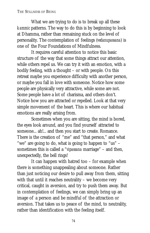What we are trying to do is to break up all these *kammic* patterns. The way to do this is by beginning to look at Dhamma, rather than remaining stuck on the level of personality. The contemplation of feelings (*vedanupassana*) is one of the Four Foundations of Mindfulness.

It requires careful attention to notice this basic structure of the way that some things attract our attention, while others repel us. We can try it with an emotion, with a bodily feeling, with a thought – or with people. On this retreat maybe you experience difficulty with another person, or maybe you fall in love with someone. Notice how some people are physically very attractive, while some are not. Some people have a lot of charisma, and others don't. Notice how you are attracted or repelled. Look at that very simple movement of the heart. This is where our habitual emotions are really arising from.

Sometimes when you are sitting, the mind is bored, the eyes look around, and you find yourself attracted to someone... ah!... and then you start to create. Romance. There is the creation of "me" and "that person," and what "we" are going to do, what is going to happen to "us" – sometimes this is called a "*vipassana* marriage" – and then, unexpectedly, the bell rings!

It can happen with hatred too – for example when there is something unappealing about someone. Rather than just noticing our desire to pull away from them, sitting with that until it reaches neutrality – we become very critical, caught in aversion, and try to push them away. But in contemplation of feelings, we can simply bring up an image of a person and be mindful of the attraction or aversion. That takes us to peace of the mind, to neutrality, rather than identification with the feeling itself.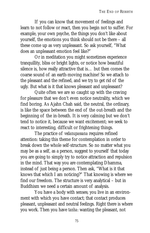If you can know that movement of feelings and learn to not follow or react, then you begin not to suffer. For example, your own psyche, the things you don't like about yourself, the emotions you think should not be there – all these come up as very unpleasant. So ask yourself, "What does an unpleasant emotion feel like?"

Or in meditation you might sometimes experience tranquillity, bliss or bright lights, or notice how beautiful silence is, how really attractive that is… but then comes the coarse sound of an earth-moving machine! So we attach to the pleasant and the refined, and we try to get rid of the ugly. But what is it that knows pleasant and unpleasant?

Quite often we are so caught up with the craving for pleasure that we don't even notice neutrality, which we find boring. As Ajahn Chah said, the neutral, the ordinary, is like the space between the end of the out-breath and the beginning of the in-breath. It is very calming but we don't tend to notice it, because we want excitement; we seek to react to interesting, difficult or frightening things.

The practice of *vedanupassana* requires refined attention: taking this theme for contemplation in order to break down the whole self-structure. So no matter what you may be as a self, as a person, suggest to yourself that today you are going to simply try to notice attraction and repulsion in the mind. That way you are contemplating Dhamma, instead of just being a person. Then ask, "What is it that knows that which I am noticing?" That knowing is where we find our freedom. The structure is very analytical – but in Buddhism we need a certain amount of analysis.

You have a body with senses; you live in an environment with which you have contact; that contact produces pleasant, unpleasant and neutral feelings. Right there is where you work. Then you have *tanha*: wanting the pleasant, not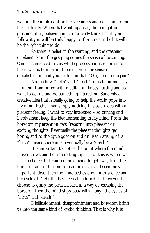wanting the unpleasant or the sleepiness and delusion around the neutrality. When that wanting arises, there might be grasping of it, believing in it. You really think that if you follow it you will be truly happy, or that to get rid of it will be the right thing to do.

So there is belief in the wanting, and the grasping (*upadana*). From the grasping comes the sense of becoming. One gets involved in this whole process and is reborn into the new situation. From there emerges the sense of dissatisfaction, and you get lost in that: "Oh, here I go again!"

Notice how "birth" and "death" operate moment by moment. I am bored with meditation, knees hurting and so I want to get up and do something interesting. Suddenly a creative idea that is really going to help the world pops into my mind. Rather than simply noticing this as an idea with a pleasant feeling, I want to stay interested – so craving and involvement keep the idea fermenting in my mind. From the boredom my attention gets "reborn" into pleasant or exciting thoughts. Eventually the pleasant thoughts get boring and so the cycle goes on and on. Each arising of a "birth" means there must eventually be a "death."

It is important to notice the point where the mind moves to yet another interesting topic – for this is where we have a choice. If I can see the craving to get away from the boredom and in turn not grasp the clever and seemingly important ideas, then the mind settles down into silence and the cycle of "rebirth" has been abandoned. If, however, I choose to grasp the pleasant idea as a way of escaping the boredom then the mind stays busy with many little cycles of "birth" and "death."

Disillusionment, disappointment and boredom bring us into the same kind of cyclic thinking. That is why it is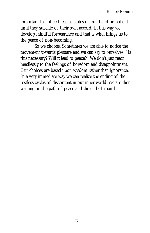important to notice these as states of mind and be patient until they subside of their own accord. In this way we develop mindful forbearance and that is what brings us to the peace of non-becoming.

So we choose. Sometimes we are able to notice the movement towards pleasure and we can say to ourselves, "Is this necessary? Will it lead to peace?" We don't just react heedlessly to the feelings of boredom and disappointment. Our choices are based upon wisdom rather than ignorance. In a very immediate way we can realize the ending of the restless cycles of discontent in our inner world. We are then walking on the path of peace and the end of rebirth.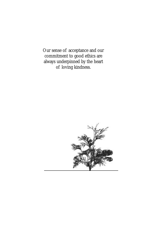Our sense of acceptance and our commitment to good ethics are always underpinned by the heart of loving kindness.

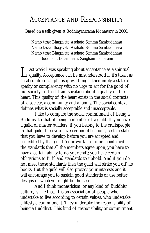## ACCEPTANCE AND RESPONSIBILITY

Based on a talk given at Bodhinyanarama Monastery in 2000.

Namo tassa Bhagavato Arahato Samma Sambuddhasa Namo tassa Bhagavato Arahato Samma Sambuddhasa Namo tassa Bhagavato Arahato Samma Sambuddhasa Buddham, Dhammam, Sangham namasami

Last week I was speaking about acceptance as a spiritual quality. Acceptance can be misunderstood if it's taken quality. Acceptance can be misunderstood if it's taken as an absolute social philosophy. It might then imply a state of apathy or complacency with no urge to act for the good of our society. Instead, I am speaking about a quality of the heart. This quality of the heart exists in the social contexts of a society, a community and a family. The social context defines what is socially acceptable and unacceptable.

I like to compare the social commitment of being a Buddhist to that of being a member of a guild. If you have a guild of master builders, if you belong to the craftspeople in that guild, then you have certain obligations, certain skills that you have to develop before you are accepted and accredited by that guild. Your work has to be maintained at the standards that all the members agree upon; you have to have a certain ability to do your craft; you have certain obligations to fulfil and standards to uphold. And if you do not meet those standards then the guild will strike you off its books. But the guild will also protect your interests and it will encourage you to sustain good standards or use better designs or whatever might be the case.

And I think monasticism, or any kind of Buddhist culture, is like that. It is an association of people who undertake to live according to certain values, who undertake a lifestyle commitment. They undertake the responsibility of being a Buddhist. This kind of responsibility or commitment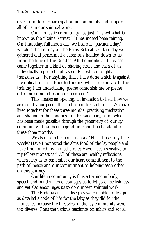gives form to our participation in community and supports all of us in our spiritual work.

Our monastic community has just finished what is known as the "Rains Retreat." It has indeed been raining. On Thursday, full moon day, we had our "pavarana day," which is the last day of the Rains Retreat. On that day we gathered and performed a ceremony handed down to us from the time of the Buddha. All the monks and novices came together in a kind of sharing circle and each of us individually repeated a phrase in Pali which roughly translates as, "For anything that I have done which is against my obligations as a Buddhist monk, which is contrary to the training I am undertaking, please admonish me or please offer me some reflection or feedback."

This creates an opening, an invitation to hear how we are seen by our peers. It's a reflection for each of us. We have lived together for these three months, practising meditation and sharing in the goodness of this sanctuary, all of which has been made possible through the generosity of our lay community. It has been a good time and I feel grateful for these three months.

We also use reflections such as, "Have I used my time wisely? Have I honoured the alms food of the lay people and have I honoured my monastic rule? Have I been sensitive to my fellow monastics?" All of these are healthy reflections which help us to remember our heart commitment to the path of peace and our commitment to helping each other on this journey.

Our life in community is thus a training in body, speech and mind which encourages us to let go of selfishness and yet also encourages us to do our own spiritual work.

The Buddha and his disciples were unable to design as detailed a code of life for the laity as they did for the monastics because the lifestyles of the lay community were too diverse. Thus the various teachings on ethics and social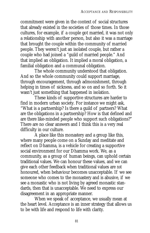commitment were given in the context of social structures that already existed in the societies of those times. In those cultures, for example, if a couple got married, it was not only a relationship with another person, but also it was a marriage that brought the couple within the community of married people. They weren't just an isolated couple, but rather a couple who had joined a "guild of married people." And that implied an obligation. It implied a moral obligation, a familial obligation and a communal obligation.

The whole community understood that obligation. And so the whole community could support marriage, through encouragement, through admonishment, through helping in times of sickness, and so on and so forth. So it wasn't just something that happened in isolation.

These kinds of supportive structures are harder to find in modern urban society. For instance we might ask, "What is a partnership? Is there a guild of partners? What are the obligations in a partnership? How is that defined and are there like-minded people who support such obligations?" There are no clear answers and I think this is a very real difficulty in our culture.

A place like this monastery and a group like this, where many people come on a Sunday and meditate and reflect on Dhamma, is a vehicle for creating a supportive social environment for our Dhamma work. We, as a community, as a group of human beings, can uphold certain traditional values. We can honour these values, and we can give each other feedback when traditional values are *not* honoured, when behaviour becomes unacceptable. If we see someone who comes to the monastery and is abusive, if we see a monastic who is not living by agreed monastic standards, then that is unacceptable. We need to express our disagreement in an appropriate manner.

When we speak of acceptance, we usually mean at the heart level. Acceptance is an inner strategy that allows us to be with life and respond to life with clarity.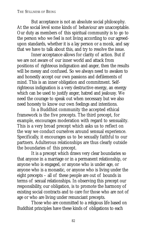But acceptance is not an absolute social philosophy. At the social level some kinds of behaviour are unacceptable. Our duty as members of this spiritual community is to go to the person who we feel is not living according to our agreedupon standards, whether it is a lay person or a monk, and say that we have to talk about this, and try to resolve the issue.

Inner acceptance allows for clarity of action. But if we are not aware of our inner world and attack from positions of righteous indignation and anger, then the results will be messy and confused. So we always need to awaken to and honestly accept our own passions and defilements of mind. This is an inner obligation and commitment. Selfrighteous indignation is a very destructive energy, an energy which can be used to justify anger, hatred and jealousy. We need the courage to speak out when necessary but we also need honesty to know our own feelings and intentions.

In a Buddhist community the accepted ethical framework is the five precepts. The third precept, for example, encourages moderation with regard to sensuality. This is a very broad precept which asks us to reflect on the way we conduct ourselves around sensual experience. Specifically, it encourages us to be sexually faithful to our partners. Adulterous relationships are thus clearly outside the boundaries of this precept.

It is a precept which draws very clear boundaries so that anyone in a marriage or in a permanent relationship, or anyone who is engaged, or anyone who is under age, or anyone who is a monastic, or anyone who is living under the eight precepts – all of these people are out of bounds in terms of sexual relationships. In observing this precept our responsibility, our obligation, is to promote the harmony of existing social contracts and to care for those who are not of age or who are living under renunciant precepts.

Those who are committed to a religious life based on Buddhist principles have these kinds of obligations to each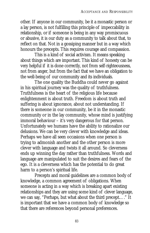other. If anyone in our community, be it a monastic person or a lay person, is not fulfilling this principle of impeccability in relationship, or if someone is being in any way promiscuous or abusive, it is our duty as a community to talk about that, to reflect on that. Not in a gossiping manner but in a way which honours the precepts. This requires courage and compassion.

This is a kind of social activism. It means speaking about things which are important. This kind of honesty can be very helpful if it is done correctly, not from self-righteousness, not from anger, but from the fact that we have an obligation to the well-being of our community and its individuals.

The one quality the Buddha could never go against in his spiritual journey was the quality of truthfulness. Truthfulness is the heart of the religious life because enlightenment is about truth. Freedom is about truth and suffering is about ignorance, about not understanding. If there is someone in our community, be it in the monastic community or in the lay community, whose mind is justifying immoral behaviour – it's very dangerous for that person. Unfortunately we humans have the ability to rationalize our delusions. We can be very clever with knowledge and ideas. Perhaps we have all seen occasions when one person is trying to admonish another and the other person is more clever with language and twists it all around. So cleverness ends up winning the day rather than truthfulness. Words and language are manipulated to suit the desires and fears of the ego. It is a cleverness which has the potential to do great harm to a person's spiritual life.

Precepts and moral guidelines are a common body of knowledge, a common agreement of obligations. When someone is acting in a way which is breaking apart existing relationships and they are using some kind of clever language, we can say, "Perhaps, but what about the third precept…." It is important that we have a common body of knowledge so that there are references beyond personal preferences.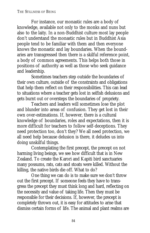For instance, our monastic rules are a body of knowledge, available not only to the monks and nuns but also to the laity. In a non-Buddhist culture most lay people don't understand the monastic rules but in Buddhist Asia people tend to be familiar with them and then everyone knows the monastic and lay boundaries. When the boundaries are transgressed then there is a skilful reference point, a body of common agreements. This helps both those in positions of authority as well as those who seek guidance and leadership.

Sometimes teachers step outside the boundaries of their own culture, outside of the constraints and obligations that help them reflect on their responsibilities. This can lead to situations where a teacher gets lost in selfish delusions and gets burnt out or oversteps the boundaries of propriety.

Teachers and leaders will sometimes lose the plot and blunder into areas of confusion. They get lost in their own over-estimations. If, however, there is a cultural knowledge of boundaries, roles and expectations, then it is more difficult for teachers to follow self-deceptions. They need protection too, don't they? We all need protection, we all need help because delusion is there, it deludes us into doing unskilful things.

Contemplating the first precept, the precept on not harming living beings, we see how difficult that is in New Zealand. To create the Karori and Kapiti bird sanctuaries many possums, rats, cats and stoats were killed. Without the killing, the native birds die off. What to do?

One thing we can do is to make sure we don't throw out the first precept. If someone feels they have to transgress the precept they must think long and hard, reflecting on the necessity and value of taking life. Then they must be responsible for their decisions. If, however, the precept is completely thrown out, it is easy for attitudes to arise that dismiss certain forms of life. The animal and plant realms are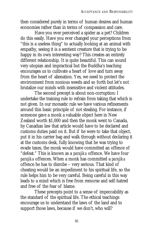then considered purely in terms of human desires and human economies rather than in terms of compassion and care.

Have you ever perceived a spider as a pet? Children do this easily. Have you ever changed your perceptions from "this is a useless thing" to actually looking at an animal with empathy, seeing it is a sentient creature that is trying to be happy in its own interesting way? This creates an entirely different relationship. It is quite beautiful. This can sound very utopian and impractical but the Buddha's teaching encourages us to cultivate a heart of love and turn away from the heart of alienation. Yes, we need to protect the environment from noxious weeds and so forth but let's not brutalize our minds with insensitive and violent attitudes.

The second precept is about non-corruption: I undertake the training rule to refrain from taking that which is not given. In our monastic rule we have various refinements around this basic principle of not stealing. For instance, if someone gave a monk a valuable object here in New Zealand worth \$1,000 and then the monk went to Canada, by Canadian law that article would have to be declared and customs duties paid on it. But if he were to take that object, put it in his carrier bag and walk through without declaring it at the customs desk, fully knowing that he was trying to evade taxes, the monk would have committed an offence of "defeat." This is known as a *parajika* offence. We have four *parajika* offences. When a monk has committed a *parajika* offence he has to disrobe – very serious. That kind of cheating would be an impediment to his spiritual life, so the rule helps him to be very careful. Being careful in this way leads to a mind which is free from remorse and self-hatred and free of the fear of blame.

These precepts point to a sense of impeccability as the standard of the spiritual life. The ethical teachings encourage us to understand the laws of the land and to support those laws, because if we don't, who will?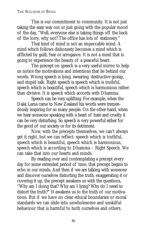This is our commitment to community. It is not just taking the easy way out or just going with the popular mood of the day, "Well, everyone else is taking things off the back of the lorry, why not? The office has lots of stationery."

That kind of mind is not an impeccable mind. A mind which follows dishonesty becomes a mind which is afflicted by guilt, fear or arrogance. It is not a mind that is going to experience the beauty of a peaceful heart.

The precept on speech is a very useful mirror to help us notice the motivations and intentions that lie behind our words. Wrong speech is lying, swearing, destructive gossip, and stupid talk. Right speech is speech which is truthful, speech which is beautiful, speech which is harmonious rather than divisive. It is speech which accords with Dhamma.

Speech can be very uplifting. For example, when the Dalai Lama came to New Zealand his words were tremendously inspiring for so many people. On the other hand, when we hear someone speaking with a heart of hate and cruelty it can be very disturbing. So speech is very powerful either for the good of our society or for its detriment.

Now, with the precepts themselves, we can't always get it right, but we can reflect: speech which is truthful, speech which is beautiful, speech which is harmonious, speech which is according to Dhamma – Right Speech. We can take that into our hearts and minds.

By reading over and contemplating a precept every day for some extended period of time, that precept begins to echo in our minds. And then if we are talking with someone and discover ourselves distorting the truth, exaggerating it or covering it up, the precept awakens us with the questions, "Why am I doing that? Why am I lying? Why do I need to distort the truth?" It awakens us to the truth of our motivations. But if we have no clear ethical boundaries or moral standards we can slide into unwholesome and unskilful behaviour that is harmful to both ourselves and others.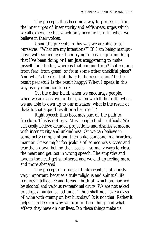The precepts thus become a way to protect us from the inner urges of insensitivity and selfishness, urges which we all experience but which only become harmful when we believe in their voices.

Using the precepts in this way we are able to ask ourselves, "What are my intentions?" If I am being manipulative with someone or I am trying to cover up something that I've been doing or I am just exaggerating to make myself look better, where is that coming from? Is it coming from fear, from greed, or from some other unskilful place? And what's the result of that? Is the result good? Is the result peaceful? Is the result happy? When  $\overline{I}$  speak in this way, is my mind confused?

On the other hand, when we encourage people, when we are sensitive to them, when we tell the truth, when we are able to own up to our mistakes, what is the result of that? Is that a good result or a bad result?

Right speech thus becomes part of the path to freedom. This is not easy. Most people find it difficult. We can easily believe deluded projections and dismiss someone with insensitivity and unkindness. Or we can believe in some petty complaint and then poke someone in a heartless manner. Or we might feel jealous of someone's success and tear them down behind their backs – so many ways to close the heart and get lost in wrong speech. The empathy and love in the heart get smothered and we end up feeling more and more alienated.

The precept on drugs and intoxicants is obviously very important, because a truly religious and spiritual life requires intelligence and focus – both of which are harmed by alcohol and various recreational drugs. We are not asked to adopt a puritanical attitude, "Thou shalt not have a glass of wine with granny on her birthday." It is not that. Rather it helps us reflect on why we turn to these things and what effects they have on our lives. Do these things make us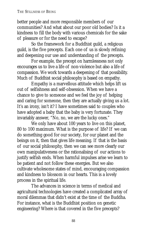better people and more responsible members of our communities? And what about our poor old bodies? Is it a kindness to fill the body with various chemicals for the sake of pleasure or for the need to escape?

So the framework for a Buddhist guild, a religious guild, is the five precepts. Each one of us is slowly refining and deepening our use and understanding of the precepts.

For example, the precept on harmlessness not only encourages us to live a life of non-violence but also a life of compassion. We work towards a deepening of that possibility. Much of Buddhist social philosophy is based on empathy.

Empathy is a marvellous attitude which helps lift us out of selfishness and self-obsession. When we have a chance to give to someone and we feel the joy of helping and caring for someone, then they are actually giving us a lot. It's an irony, isn't it? I have sometimes said to couples who have adopted a baby that the baby is very fortunate. They invariably answer, "No, no, we are the lucky ones."

We only have about 100 years to live on this planet, 80 to 100 maximum. What is the purpose of life? If we can do something good for our society, for our planet and the beings on it, then that gives life meaning. If that is the basis of our social philosophy, then we can see more clearly our own manipulativeness or the rationalising of our actions to justify selfish ends. When harmful impulses arise we learn to be patient and not follow these energies. But we also cultivate wholesome states of mind, encouraging compassion and kindness to blossom in our hearts. This is a lovely process in the spiritual life.

The advances in science in terms of medical and agricultural technologies have created a complicated array of moral dilemmas that didn't exist at the time of the Buddha. For instance, what is the Buddhist position on genetic engineering? Where is that covered in the five precepts?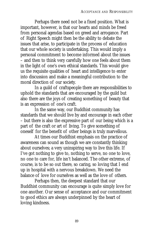Perhaps there need not be a fixed position. What is important, however, is that our hearts and minds be freed from personal agendas based on greed and arrogance. Part of Right Speech might then be the ability to debate the issues that arise, to participate in the process of education that our whole society is undertaking. This would imply a personal commitment to become informed about the issues – and then to think very carefully how one feels about them in the light of one's own ethical standards. This would give us the requisite qualities of heart and intelligence to enter into discussion and make a meaningful contribution to the moral direction of our society.

In a guild of craftspeople there are responsibilities to uphold the standards that are encouraged by the guild but also there are the joys of creating something of beauty that is an expression of one's craft.

In the same way, our Buddhist community has standards that we should live by and encourage in each other – but there is also the expressive part of our being which is a part of the craft or art of living. To give something of oneself for the benefit of other beings is truly marvellous.

At times our Buddhist emphasis on the practice of awareness can sound as though we are constantly thinking about ourselves; a very uninspiring way to live this life. If I've got nothing to give to, nothing to serve, no one to love, no one to care for, life isn't balanced. The other extreme, of course, is to be so out there, so caring, so loving that I end up in hospital with a nervous breakdown. We need the balance of love for ourselves as well as the love of others.

Perhaps then, the deepest standard that our Buddhist community can encourage is quite simply love for one another. Our sense of acceptance and our commitment to good ethics are always underpinned by the heart of loving kindness.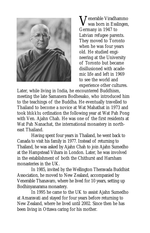

V enerable Viradhammo was born in Esslingen, Germany in 1947 to Latvian refugee parents. They moved to Toronto when he was four years old. He studied engineering at the University of Toronto but became disillusioned with academic life and left in 1969 to see the world and experience other cultures.

Later, while living in India, he encountered Buddhism, meeting the late Samanera Bodhesako, who introduced him to the teachings of the Buddha. He eventually travelled to Thailand to become a novice at Wat Mahathat in 1973 and took *bhikkhu* ordination the following year at Wat Pah Pong with Ven. Ajahn Chah. He was one of the first residents at Wat Pah Nanachat, the international monastery in northeast Thailand.

Having spent four years in Thailand, he went back to Canada to visit his family in 1977. Instead of returning to Thailand, he was asked by Ajahn Chah to join Ajahn Sumedho at the Hampstead Vihara in London. Later, he was involved in the establishment of both the Chithurst and Harnham monasteries in the UK.

In 1985, invited by the Wellington Theravada Buddhist Association, he moved to New Zealand, accompanied by Venerable Thanavaro, where he lived for 10 years, setting up Bodhinyanarama monastery.

In 1995 he came to the UK to assist Ajahn Sumedho at Amaravati and stayed for four years before returning to New Zealand, where he lived until 2002. Since then he has been living in Ottawa caring for his mother.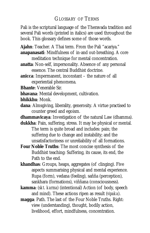## GLOSSARY OF TERMS

Pali is the scriptural language of the Theravada tradition and several Pali words (printed in italics) are used throughout the book. This glossary defines some of those words.

**Ajahn**: Teacher. A Thai term. From the Pali "acariya."

**anapanasati**: Mindfulness of in-and out-breathing. A core meditation technique for mental concentration.

- **anatta**: Non-self, impersonality. Absence of any personal essence. The central Buddhist doctrine.
- **anicca**: Impermanent, inconstant the nature of all experiential phenomena.

**Bhante**: Venerable Sir.

**bhavana**: Mental development, cultivation.

- **bhikkhu**: Monk.
- **dana**: Almsgiving, liberality, generosity. A virtue practised to counter greed and egoism.

**dhammavicaya**: Investigation of the natural Law (dhamma).

**dukkha**: Pain, suffering, stress. It may be physical or mental. The term is quite broad and includes: pain; the suffering due to change and instability; and the unsatisfactoriness or unreliability of all formations.

- **Four Noble Truths**: The most concise synthesis of the Buddhist teaching: Suffering, its cause, its end, the Path to the end.
- **khandhas**: Groups, heaps, aggregates (of clinging). Five aspects summarising physical and mental experience. Rupa (form), vedana (feeling), sañña (perception), sankhara (formations), viññana (consciousness).
- **kamma**: (*skt. karma*) (intentional) Action (of body, speech and mind). These actions ripen as result (*vipaka*).
- **magga**: Path. The last of the Four Noble Truths. Right: view (understanding), thought, bodily action, livelihood, effort, mindfulness, concentration.